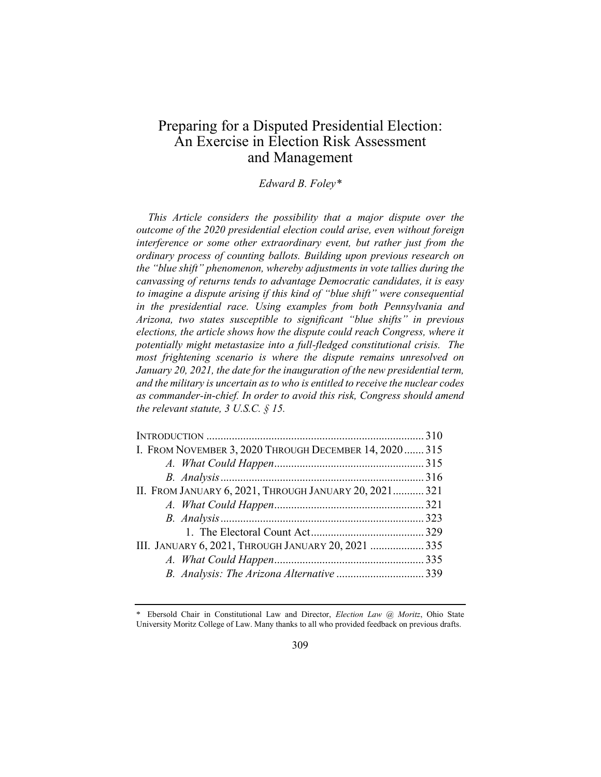# Preparing for a Disputed Presidential Election: An Exercise in Election Risk Assessment and Management

# *Edward B. Foley\**

*This Article considers the possibility that a major dispute over the outcome of the 2020 presidential election could arise, even without foreign*  interference or some other extraordinary event, but rather just from the *ordinary process of counting ballots. Building upon previous research on the "blue shift" phenomenon, whereby adjustments in vote tallies during the canvassing of returns tends to advantage Democratic candidates, it is easy to imagine a dispute arising if this kind of "blue shift" were consequential in the presidential race. Using examples from both Pennsylvania and Arizona, two states susceptible to significant "blue shifts" in previous elections, the article shows how the dispute could reach Congress, where it potentially might metastasize into a full-fledged constitutional crisis. The most frightening scenario is where the dispute remains unresolved on January 20, 2021, the date for the inauguration of the new presidential term, and the military is uncertain as to who is entitled to receive the nuclear codes as commander-in-chief. In order to avoid this risk, Congress should amend the relevant statute, 3 U.S.C. § 15.*

| I. FROM NOVEMBER 3, 2020 THROUGH DECEMBER 14, 2020 315 |  |
|--------------------------------------------------------|--|
|                                                        |  |
|                                                        |  |
| II. FROM JANUARY 6, 2021, THROUGH JANUARY 20, 2021 321 |  |
|                                                        |  |
|                                                        |  |
|                                                        |  |
| III. JANUARY 6, 2021, THROUGH JANUARY 20, 2021  335    |  |
|                                                        |  |
|                                                        |  |

<sup>\*</sup> Ebersold Chair in Constitutional Law and Director, *Election Law @ Moritz*, Ohio State University Moritz College of Law. Many thanks to all who provided feedback on previous drafts.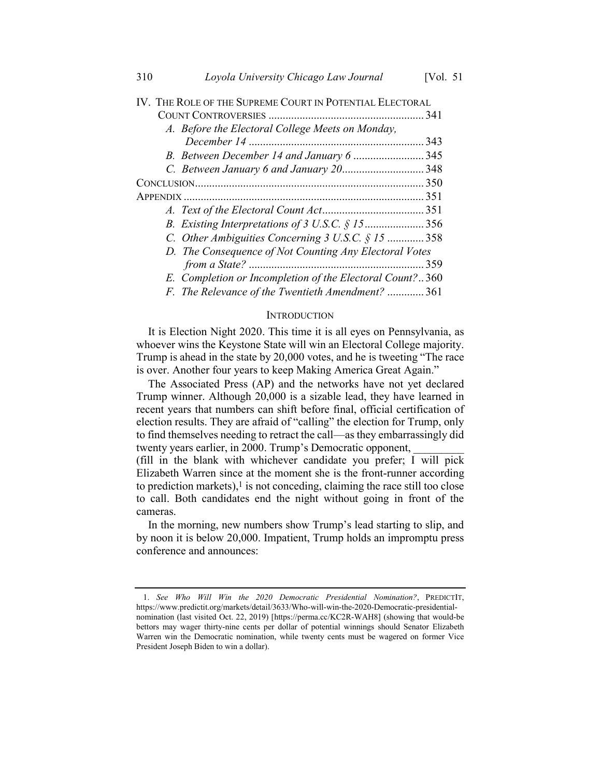| IV. THE ROLE OF THE SUPREME COURT IN POTENTIAL ELECTORAL |     |
|----------------------------------------------------------|-----|
|                                                          |     |
| A. Before the Electoral College Meets on Monday,         |     |
|                                                          | 343 |
|                                                          |     |
|                                                          |     |
|                                                          |     |
|                                                          |     |
|                                                          |     |
| B. Existing Interpretations of 3 U.S.C. $\S$ 15356       |     |
| C. Other Ambiguities Concerning $3$ U.S.C. $\S$ 15  358  |     |
| D. The Consequence of Not Counting Any Electoral Votes   |     |
|                                                          | 359 |
| E. Completion or Incompletion of the Electoral Count?360 |     |
| F. The Relevance of the Twentieth Amendment?  361        |     |

#### **INTRODUCTION**

It is Election Night 2020. This time it is all eyes on Pennsylvania, as whoever wins the Keystone State will win an Electoral College majority. Trump is ahead in the state by 20,000 votes, and he is tweeting "The race is over. Another four years to keep Making America Great Again."

The Associated Press (AP) and the networks have not yet declared Trump winner. Although 20,000 is a sizable lead, they have learned in recent years that numbers can shift before final, official certification of election results. They are afraid of "calling" the election for Trump, only to find themselves needing to retract the call—as they embarrassingly did twenty years earlier, in 2000. Trump's Democratic opponent,

(fill in the blank with whichever candidate you prefer; I will pick Elizabeth Warren since at the moment she is the front-runner according to prediction markets), $\frac{1}{1}$  is not conceding, claiming the race still too close to call. Both candidates end the night without going in front of the cameras.

In the morning, new numbers show Trump's lead starting to slip, and by noon it is below 20,000. Impatient, Trump holds an impromptu press conference and announces:

<sup>1.</sup> *See Who Will Win the 2020 Democratic Presidential Nomination?*, PREDICTIT, https://www.predictit.org/markets/detail/3633/Who-will-win-the-2020-Democratic-presidentialnomination (last visited Oct. 22, 2019) [https://perma.cc/KC2R-WAH8] (showing that would-be bettors may wager thirty-nine cents per dollar of potential winnings should Senator Elizabeth Warren win the Democratic nomination, while twenty cents must be wagered on former Vice President Joseph Biden to win a dollar).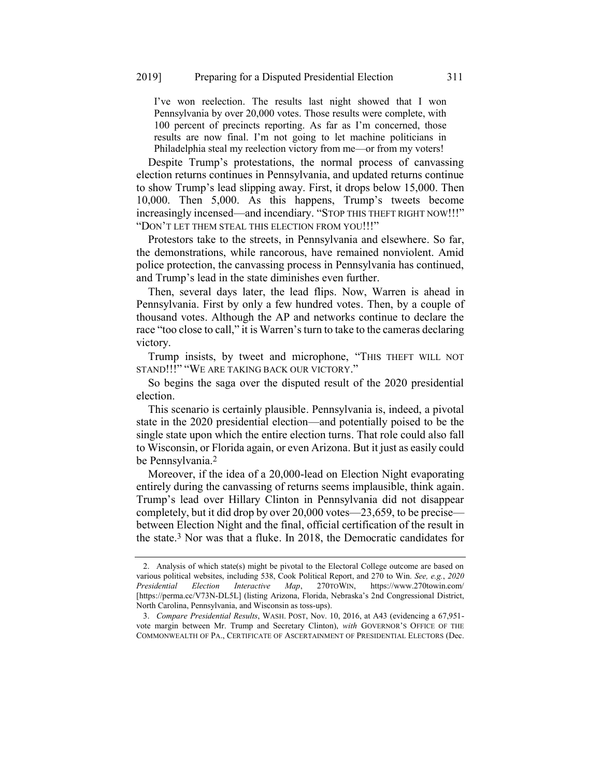I've won reelection. The results last night showed that I won Pennsylvania by over 20,000 votes. Those results were complete, with 100 percent of precincts reporting. As far as I'm concerned, those results are now final. I'm not going to let machine politicians in Philadelphia steal my reelection victory from me—or from my voters!

Despite Trump's protestations, the normal process of canvassing election returns continues in Pennsylvania, and updated returns continue to show Trump's lead slipping away. First, it drops below 15,000. Then 10,000. Then 5,000. As this happens, Trump's tweets become increasingly incensed—and incendiary. "STOP THIS THEFT RIGHT NOW!!!" "DON'T LET THEM STEAL THIS ELECTION FROM YOU!!!"

Protestors take to the streets, in Pennsylvania and elsewhere. So far, the demonstrations, while rancorous, have remained nonviolent. Amid police protection, the canvassing process in Pennsylvania has continued, and Trump's lead in the state diminishes even further.

Then, several days later, the lead flips. Now, Warren is ahead in Pennsylvania. First by only a few hundred votes. Then, by a couple of thousand votes. Although the AP and networks continue to declare the race "too close to call," it is Warren's turn to take to the cameras declaring victory.

Trump insists, by tweet and microphone, "THIS THEFT WILL NOT STAND!!!" "WE ARE TAKING BACK OUR VICTORY."

So begins the saga over the disputed result of the 2020 presidential election.

This scenario is certainly plausible. Pennsylvania is, indeed, a pivotal state in the 2020 presidential election—and potentially poised to be the single state upon which the entire election turns. That role could also fall to Wisconsin, or Florida again, or even Arizona. But it just as easily could be Pennsylvania.2

Moreover, if the idea of a 20,000-lead on Election Night evaporating entirely during the canvassing of returns seems implausible, think again. Trump's lead over Hillary Clinton in Pennsylvania did not disappear completely, but it did drop by over 20,000 votes—23,659, to be precise between Election Night and the final, official certification of the result in the state.3 Nor was that a fluke. In 2018, the Democratic candidates for

<span id="page-2-0"></span><sup>2.</sup> Analysis of which state(s) might be pivotal to the Electoral College outcome are based on various political websites, including 538, Cook Political Report, and 270 to Win. *See, e.g.*, *2020 Presidential Election Interactive Map*, 270TOWIN, https://www.270towin.com/ [https://perma.cc/V73N-DL5L] (listing Arizona, Florida, Nebraska's 2nd Congressional District, North Carolina, Pennsylvania, and Wisconsin as toss-ups).

<sup>3.</sup> *Compare Presidential Results*, WASH. POST, Nov. 10, 2016, at A43 (evidencing a 67,951 vote margin between Mr. Trump and Secretary Clinton), *with* GOVERNOR'S OFFICE OF THE COMMONWEALTH OF PA., CERTIFICATE OF ASCERTAINMENT OF PRESIDENTIAL ELECTORS (Dec.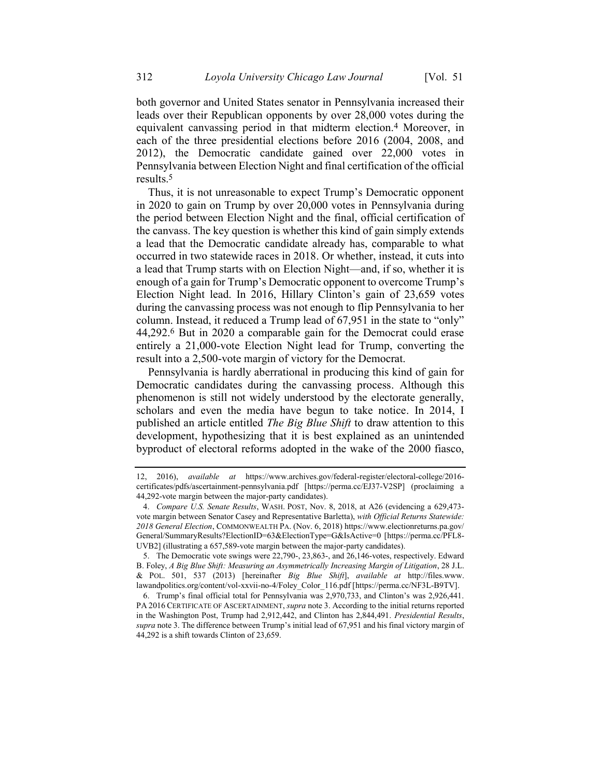<span id="page-3-1"></span>both governor and United States senator in Pennsylvania increased their leads over their Republican opponents by over 28,000 votes during the equivalent canvassing period in that midterm election.4 Moreover, in each of the three presidential elections before 2016 (2004, 2008, and 2012), the Democratic candidate gained over 22,000 votes in Pennsylvania between Election Night and final certification of the official results.5

<span id="page-3-0"></span>Thus, it is not unreasonable to expect Trump's Democratic opponent in 2020 to gain on Trump by over 20,000 votes in Pennsylvania during the period between Election Night and the final, official certification of the canvass. The key question is whether this kind of gain simply extends a lead that the Democratic candidate already has, comparable to what occurred in two statewide races in 2018. Or whether, instead, it cuts into a lead that Trump starts with on Election Night—and, if so, whether it is enough of a gain for Trump's Democratic opponent to overcome Trump's Election Night lead. In 2016, Hillary Clinton's gain of 23,659 votes during the canvassing process was not enough to flip Pennsylvania to her column. Instead, it reduced a Trump lead of 67,951 in the state to "only" 44,292. 6 But in 2020 a comparable gain for the Democrat could erase entirely a 21,000-vote Election Night lead for Trump, converting the result into a 2,500-vote margin of victory for the Democrat.

Pennsylvania is hardly aberrational in producing this kind of gain for Democratic candidates during the canvassing process. Although this phenomenon is still not widely understood by the electorate generally, scholars and even the media have begun to take notice. In 2014, I published an article entitled *The Big Blue Shift* to draw attention to this development, hypothesizing that it is best explained as an unintended byproduct of electoral reforms adopted in the wake of the 2000 fiasco,

<sup>12, 2016),</sup> *available at* https://www.archives.gov/federal-register/electoral-college/2016 certificates/pdfs/ascertainment-pennsylvania.pdf [https://perma.cc/EJ37-V2SP] (proclaiming a 44,292-vote margin between the major-party candidates).

<sup>4.</sup> *Compare U.S. Senate Results*, WASH. POST, Nov. 8, 2018, at A26 (evidencing a 629,473 vote margin between Senator Casey and Representative Barletta), *with Official Returns Statewide: 2018 General Election*, COMMONWEALTH PA. (Nov. 6, 2018) https://www.electionreturns.pa.gov/ General/SummaryResults?ElectionID=63&ElectionType=G&IsActive=0 [https://perma.cc/PFL8- UVB2] (illustrating a 657,589-vote margin between the major-party candidates).

<sup>5.</sup> The Democratic vote swings were 22,790-, 23,863-, and 26,146-votes, respectively. Edward B. Foley, *A Big Blue Shift: Measuring an Asymmetrically Increasing Margin of Litigation*, 28 J.L. & POL. 501, 537 (2013) [hereinafter *Big Blue Shift*], *available at* http://files.www. lawandpolitics.org/content/vol-xxvii-no-4/Foley\_Color\_116.pdf [https://perma.cc/NF3L-B9TV].

<sup>6.</sup> Trump's final official total for Pennsylvania was 2,970,733, and Clinton's was 2,926,441. PA 2016 CERTIFICATE OF ASCERTAINMENT, *supra* not[e 3.](#page-2-0) According to the initial returns reported in the Washington Post, Trump had 2,912,442, and Clinton has 2,844,491. *Presidential Results*, *supra* note [3.](#page-2-0) The difference between Trump's initial lead of 67,951 and his final victory margin of 44,292 is a shift towards Clinton of 23,659.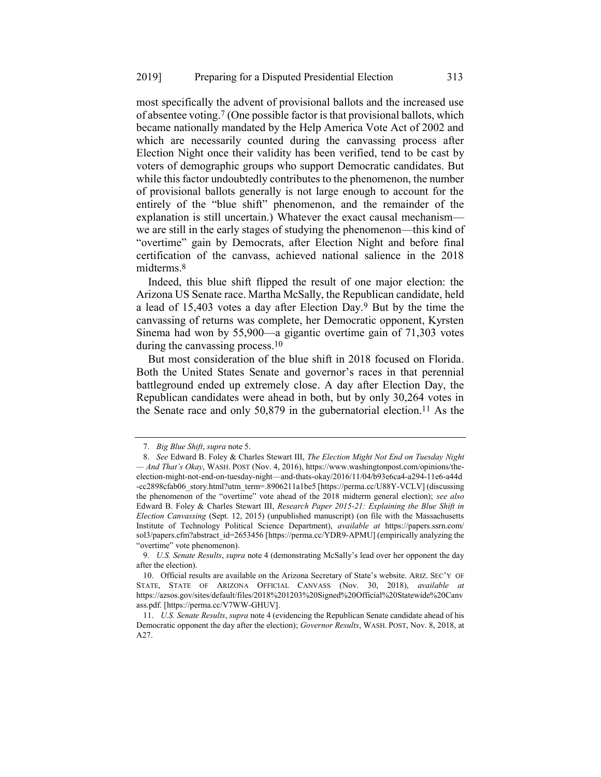most specifically the advent of provisional ballots and the increased use of absentee voting. 7 (One possible factor is that provisional ballots, which became nationally mandated by the Help America Vote Act of 2002 and which are necessarily counted during the canvassing process after Election Night once their validity has been verified, tend to be cast by voters of demographic groups who support Democratic candidates. But while this factor undoubtedly contributes to the phenomenon, the number of provisional ballots generally is not large enough to account for the entirely of the "blue shift" phenomenon, and the remainder of the explanation is still uncertain.) Whatever the exact causal mechanism we are still in the early stages of studying the phenomenon—this kind of "overtime" gain by Democrats, after Election Night and before final certification of the canvass, achieved national salience in the 2018 midterms.8

Indeed, this blue shift flipped the result of one major election: the Arizona US Senate race. Martha McSally, the Republican candidate, held a lead of 15,403 votes a day after Election Day.9 But by the time the canvassing of returns was complete, her Democratic opponent, Kyrsten Sinema had won by 55,900—a gigantic overtime gain of 71,303 votes during the canvassing process. 10

But most consideration of the blue shift in 2018 focused on Florida. Both the United States Senate and governor's races in that perennial battleground ended up extremely close. A day after Election Day, the Republican candidates were ahead in both, but by only 30,264 votes in the Senate race and only 50,879 in the gubernatorial election.11 As the

<span id="page-4-0"></span><sup>7.</sup> *Big Blue Shift*, *supra* not[e 5.](#page-3-0)

<sup>8.</sup> *See* Edward B. Foley & Charles Stewart III, *The Election Might Not End on Tuesday Night — And That's Okay*, WASH. POST (Nov. 4, 2016), https://www.washingtonpost.com/opinions/theelection-might-not-end-on-tuesday-night—and-thats-okay/2016/11/04/b93e6ca4-a294-11e6-a44d -cc2898cfab06\_story.html?utm\_term=.8906211a1be5 [https://perma.cc/U88Y-VCLV] (discussing the phenomenon of the "overtime" vote ahead of the 2018 midterm general election); *see also*  Edward B. Foley & Charles Stewart III, *Research Paper 2015-21: Explaining the Blue Shift in Election Canvassing* (Sept. 12, 2015) (unpublished manuscript) (on file with the Massachusetts Institute of Technology Political Science Department), *available at* https://papers.ssrn.com/ sol3/papers.cfm?abstract\_id=2653456 [https://perma.cc/YDR9-APMU] (empirically analyzing the "overtime" vote phenomenon).

<sup>9.</sup> *U.S. Senate Results*, *supra* note [4](#page-3-1) (demonstrating McSally's lead over her opponent the day after the election).

<sup>10.</sup> Official results are available on the Arizona Secretary of State's website. ARIZ. SEC'Y OF STATE, STATE OF ARIZONA OFFICIAL CANVASS (Nov. 30, 2018), *available at* https://azsos.gov/sites/default/files/2018%201203%20Signed%20Official%20Statewide%20Canv ass.pdf. [https://perma.cc/V7WW-GHUV].

<sup>11.</sup> *U.S. Senate Results*, *supra* not[e 4](#page-3-1) (evidencing the Republican Senate candidate ahead of his Democratic opponent the day after the election); *Governor Results*, WASH. POST, Nov. 8, 2018, at A27.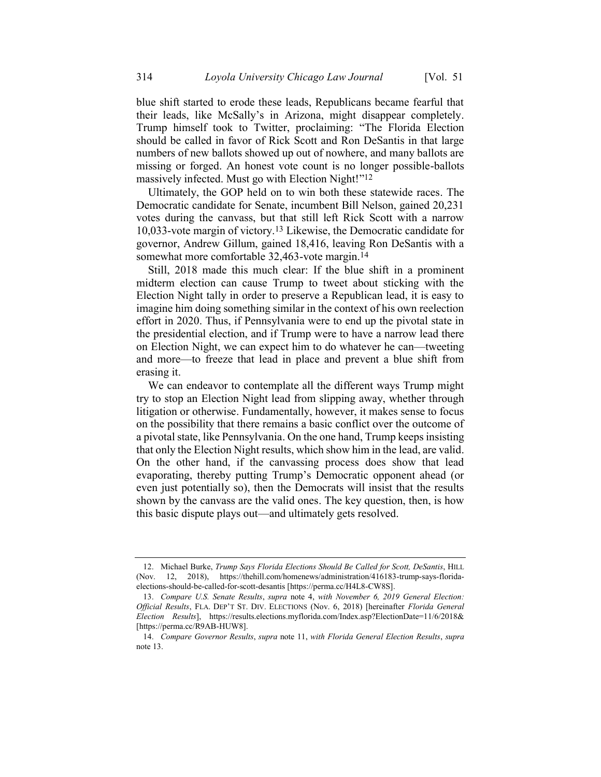blue shift started to erode these leads, Republicans became fearful that their leads, like McSally's in Arizona, might disappear completely. Trump himself took to Twitter, proclaiming: "The Florida Election should be called in favor of Rick Scott and Ron DeSantis in that large numbers of new ballots showed up out of nowhere, and many ballots are missing or forged. An honest vote count is no longer possible-ballots massively infected. Must go with Election Night!"12

<span id="page-5-0"></span>Ultimately, the GOP held on to win both these statewide races. The Democratic candidate for Senate, incumbent Bill Nelson, gained 20,231 votes during the canvass, but that still left Rick Scott with a narrow 10,033-vote margin of victory. 13 Likewise, the Democratic candidate for governor, Andrew Gillum, gained 18,416, leaving Ron DeSantis with a somewhat more comfortable 32,463-vote margin.<sup>14</sup>

Still, 2018 made this much clear: If the blue shift in a prominent midterm election can cause Trump to tweet about sticking with the Election Night tally in order to preserve a Republican lead, it is easy to imagine him doing something similar in the context of his own reelection effort in 2020. Thus, if Pennsylvania were to end up the pivotal state in the presidential election, and if Trump were to have a narrow lead there on Election Night, we can expect him to do whatever he can—tweeting and more—to freeze that lead in place and prevent a blue shift from erasing it.

We can endeavor to contemplate all the different ways Trump might try to stop an Election Night lead from slipping away, whether through litigation or otherwise. Fundamentally, however, it makes sense to focus on the possibility that there remains a basic conflict over the outcome of a pivotal state, like Pennsylvania. On the one hand, Trump keeps insisting that only the Election Night results, which show him in the lead, are valid. On the other hand, if the canvassing process does show that lead evaporating, thereby putting Trump's Democratic opponent ahead (or even just potentially so), then the Democrats will insist that the results shown by the canvass are the valid ones. The key question, then, is how this basic dispute plays out—and ultimately gets resolved.

<sup>12.</sup> Michael Burke, *Trump Says Florida Elections Should Be Called for Scott, DeSantis*, HILL (Nov. 12, 2018), https://thehill.com/homenews/administration/416183-trump-says-floridaelections-should-be-called-for-scott-desantis [https://perma.cc/H4L8-CW8S].

<sup>13.</sup> *Compare U.S. Senate Results*, *supra* note [4,](#page-3-1) *with November 6, 2019 General Election: Official Results*, FLA. DEP'T ST. DIV. ELECTIONS (Nov. 6, 2018) [hereinafter *Florida General Election Results*], https://results.elections.myflorida.com/Index.asp?ElectionDate=11/6/2018& [https://perma.cc/R9AB-HUW8].

<sup>14.</sup> *Compare Governor Results*, *supra* note [11,](#page-4-0) *with Florida General Election Results*, *supra*  note [13.](#page-5-0)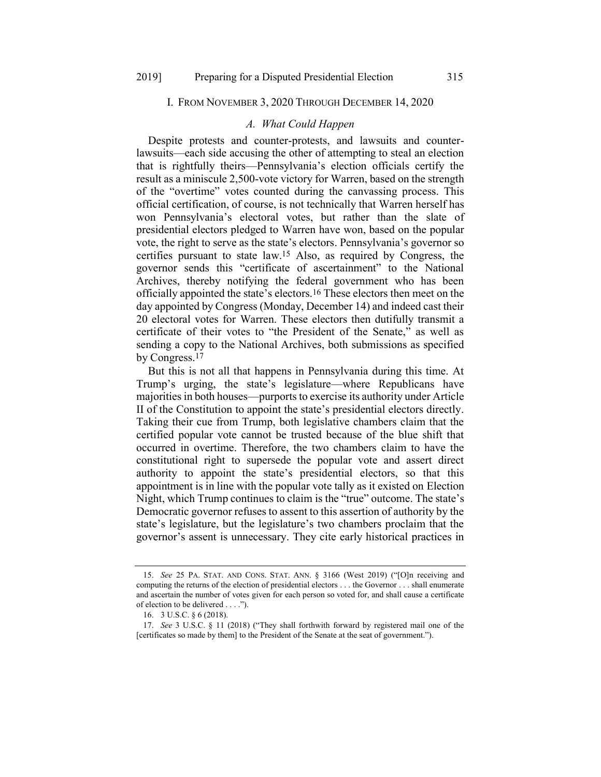# I. FROM NOVEMBER 3, 2020 THROUGH DECEMBER 14, 2020

# *A. What Could Happen*

Despite protests and counter-protests, and lawsuits and counterlawsuits—each side accusing the other of attempting to steal an election that is rightfully theirs—Pennsylvania's election officials certify the result as a miniscule 2,500-vote victory for Warren, based on the strength of the "overtime" votes counted during the canvassing process. This official certification, of course, is not technically that Warren herself has won Pennsylvania's electoral votes, but rather than the slate of presidential electors pledged to Warren have won, based on the popular vote, the right to serve as the state's electors. Pennsylvania's governor so certifies pursuant to state law.15 Also, as required by Congress, the governor sends this "certificate of ascertainment" to the National Archives, thereby notifying the federal government who has been officially appointed the state's electors.16 These electors then meet on the day appointed by Congress (Monday, December 14) and indeed cast their 20 electoral votes for Warren. These electors then dutifully transmit a certificate of their votes to "the President of the Senate," as well as sending a copy to the National Archives, both submissions as specified by Congress.17

But this is not all that happens in Pennsylvania during this time. At Trump's urging, the state's legislature—where Republicans have majorities in both houses—purports to exercise its authority under Article II of the Constitution to appoint the state's presidential electors directly. Taking their cue from Trump, both legislative chambers claim that the certified popular vote cannot be trusted because of the blue shift that occurred in overtime. Therefore, the two chambers claim to have the constitutional right to supersede the popular vote and assert direct authority to appoint the state's presidential electors, so that this appointment is in line with the popular vote tally as it existed on Election Night, which Trump continues to claim is the "true" outcome. The state's Democratic governor refuses to assent to this assertion of authority by the state's legislature, but the legislature's two chambers proclaim that the governor's assent is unnecessary. They cite early historical practices in

<sup>15.</sup> *See* 25 PA. STAT. AND CONS. STAT. ANN. § 3166 (West 2019) ("[O]n receiving and computing the returns of the election of presidential electors . . . the Governor . . . shall enumerate and ascertain the number of votes given for each person so voted for, and shall cause a certificate of election to be delivered . . . .").

<sup>16.</sup> 3 U.S.C. § 6 (2018).

<sup>17.</sup> *See* 3 U.S.C. § 11 (2018) ("They shall forthwith forward by registered mail one of the [certificates so made by them] to the President of the Senate at the seat of government.").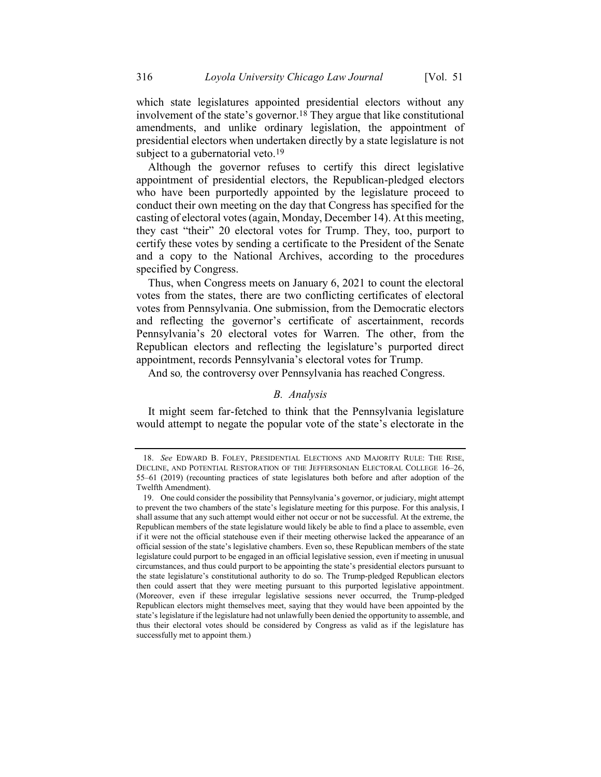<span id="page-7-0"></span>which state legislatures appointed presidential electors without any involvement of the state's governor. 18 They argue that like constitutional amendments, and unlike ordinary legislation, the appointment of presidential electors when undertaken directly by a state legislature is not subject to a gubernatorial veto.<sup>19</sup>

Although the governor refuses to certify this direct legislative appointment of presidential electors, the Republican-pledged electors who have been purportedly appointed by the legislature proceed to conduct their own meeting on the day that Congress has specified for the casting of electoral votes (again, Monday, December 14). At this meeting, they cast "their" 20 electoral votes for Trump. They, too, purport to certify these votes by sending a certificate to the President of the Senate and a copy to the National Archives, according to the procedures specified by Congress.

Thus, when Congress meets on January 6, 2021 to count the electoral votes from the states, there are two conflicting certificates of electoral votes from Pennsylvania. One submission, from the Democratic electors and reflecting the governor's certificate of ascertainment, records Pennsylvania's 20 electoral votes for Warren. The other, from the Republican electors and reflecting the legislature's purported direct appointment, records Pennsylvania's electoral votes for Trump.

And so*,* the controversy over Pennsylvania has reached Congress.

# *B. Analysis*

It might seem far-fetched to think that the Pennsylvania legislature would attempt to negate the popular vote of the state's electorate in the

<sup>18.</sup> *See* EDWARD B. FOLEY, PRESIDENTIAL ELECTIONS AND MAJORITY RULE: THE RISE, DECLINE, AND POTENTIAL RESTORATION OF THE JEFFERSONIAN ELECTORAL COLLEGE 16–26, 55–61 (2019) (recounting practices of state legislatures both before and after adoption of the Twelfth Amendment).

<sup>19.</sup> One could consider the possibility that Pennsylvania's governor, or judiciary, might attempt to prevent the two chambers of the state's legislature meeting for this purpose. For this analysis, I shall assume that any such attempt would either not occur or not be successful. At the extreme, the Republican members of the state legislature would likely be able to find a place to assemble, even if it were not the official statehouse even if their meeting otherwise lacked the appearance of an official session of the state's legislative chambers. Even so, these Republican members of the state legislature could purport to be engaged in an official legislative session, even if meeting in unusual circumstances, and thus could purport to be appointing the state's presidential electors pursuant to the state legislature's constitutional authority to do so. The Trump-pledged Republican electors then could assert that they were meeting pursuant to this purported legislative appointment. (Moreover, even if these irregular legislative sessions never occurred, the Trump-pledged Republican electors might themselves meet, saying that they would have been appointed by the state's legislature if the legislature had not unlawfully been denied the opportunity to assemble, and thus their electoral votes should be considered by Congress as valid as if the legislature has successfully met to appoint them.)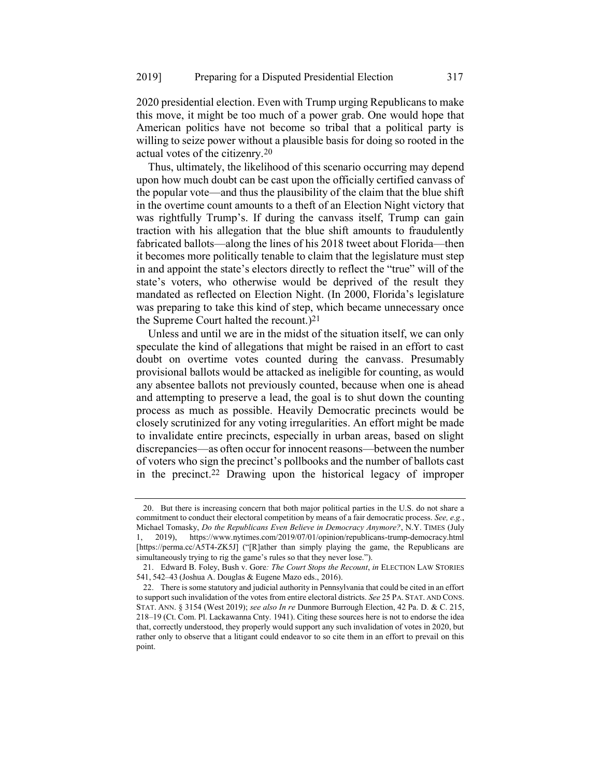2020 presidential election. Even with Trump urging Republicans to make this move, it might be too much of a power grab. One would hope that American politics have not become so tribal that a political party is willing to seize power without a plausible basis for doing so rooted in the actual votes of the citizenry.20

Thus, ultimately, the likelihood of this scenario occurring may depend upon how much doubt can be cast upon the officially certified canvass of the popular vote—and thus the plausibility of the claim that the blue shift in the overtime count amounts to a theft of an Election Night victory that was rightfully Trump's. If during the canvass itself, Trump can gain traction with his allegation that the blue shift amounts to fraudulently fabricated ballots—along the lines of his 2018 tweet about Florida—then it becomes more politically tenable to claim that the legislature must step in and appoint the state's electors directly to reflect the "true" will of the state's voters, who otherwise would be deprived of the result they mandated as reflected on Election Night. (In 2000, Florida's legislature was preparing to take this kind of step, which became unnecessary once the Supreme Court halted the recount.)21

Unless and until we are in the midst of the situation itself, we can only speculate the kind of allegations that might be raised in an effort to cast doubt on overtime votes counted during the canvass. Presumably provisional ballots would be attacked as ineligible for counting, as would any absentee ballots not previously counted, because when one is ahead and attempting to preserve a lead, the goal is to shut down the counting process as much as possible. Heavily Democratic precincts would be closely scrutinized for any voting irregularities. An effort might be made to invalidate entire precincts, especially in urban areas, based on slight discrepancies—as often occur for innocent reasons—between the number of voters who sign the precinct's pollbooks and the number of ballots cast in the precinct.22 Drawing upon the historical legacy of improper

<sup>20.</sup> But there is increasing concern that both major political parties in the U.S. do not share a commitment to conduct their electoral competition by means of a fair democratic process. *See, e.g.*, Michael Tomasky, *Do the Republicans Even Believe in Democracy Anymore?*, N.Y. TIMES (July 1, 2019), https://www.nytimes.com/2019/07/01/opinion/republicans-trump-democracy.html [https://perma.cc/A5T4-ZK5J] ("[R]ather than simply playing the game, the Republicans are simultaneously trying to rig the game's rules so that they never lose.").

<sup>21.</sup> Edward B. Foley, Bush v. Gore*: The Court Stops the Recount*, *in* ELECTION LAW STORIES 541, 542–43 (Joshua A. Douglas & Eugene Mazo eds., 2016).

<sup>22.</sup> There is some statutory and judicial authority in Pennsylvania that could be cited in an effort to support such invalidation of the votes from entire electoral districts. *See* 25 PA. STAT. AND CONS. STAT. ANN. § 3154 (West 2019); *see also In re* Dunmore Burrough Election, 42 Pa. D. & C. 215, 218–19 (Ct. Com. Pl. Lackawanna Cnty. 1941). Citing these sources here is not to endorse the idea that, correctly understood, they properly would support any such invalidation of votes in 2020, but rather only to observe that a litigant could endeavor to so cite them in an effort to prevail on this point.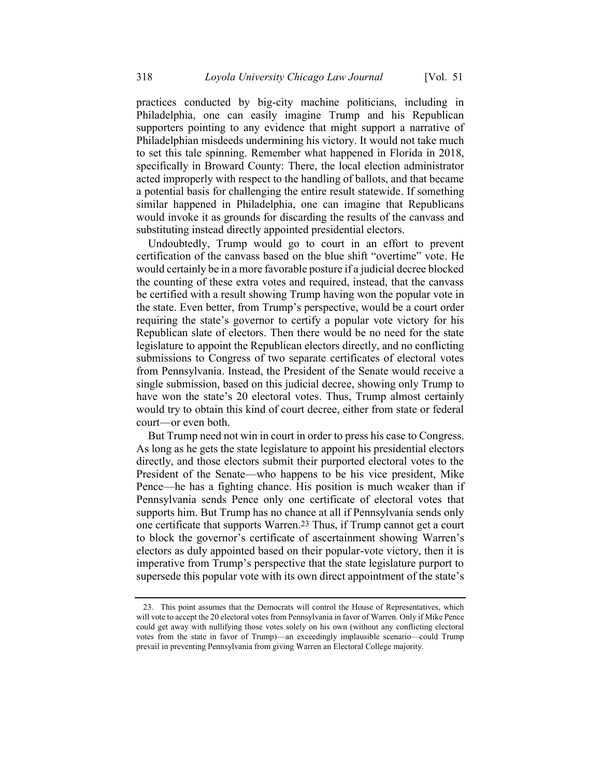practices conducted by big-city machine politicians, including in Philadelphia, one can easily imagine Trump and his Republican supporters pointing to any evidence that might support a narrative of Philadelphian misdeeds undermining his victory. It would not take much to set this tale spinning. Remember what happened in Florida in 2018, specifically in Broward County: There, the local election administrator acted improperly with respect to the handling of ballots, and that became a potential basis for challenging the entire result statewide. If something similar happened in Philadelphia, one can imagine that Republicans would invoke it as grounds for discarding the results of the canvass and substituting instead directly appointed presidential electors.

Undoubtedly, Trump would go to court in an effort to prevent certification of the canvass based on the blue shift "overtime" vote. He would certainly be in a more favorable posture if a judicial decree blocked the counting of these extra votes and required, instead, that the canvass be certified with a result showing Trump having won the popular vote in the state. Even better, from Trump's perspective, would be a court order requiring the state's governor to certify a popular vote victory for his Republican slate of electors. Then there would be no need for the state legislature to appoint the Republican electors directly, and no conflicting submissions to Congress of two separate certificates of electoral votes from Pennsylvania. Instead, the President of the Senate would receive a single submission, based on this judicial decree, showing only Trump to have won the state's 20 electoral votes. Thus, Trump almost certainly would try to obtain this kind of court decree, either from state or federal court—or even both.

But Trump need not win in court in order to press his case to Congress. As long as he gets the state legislature to appoint his presidential electors directly, and those electors submit their purported electoral votes to the President of the Senate—who happens to be his vice president, Mike Pence—he has a fighting chance. His position is much weaker than if Pennsylvania sends Pence only one certificate of electoral votes that supports him. But Trump has no chance at all if Pennsylvania sends only one certificate that supports Warren. 23 Thus, if Trump cannot get a court to block the governor's certificate of ascertainment showing Warren's electors as duly appointed based on their popular-vote victory, then it is imperative from Trump's perspective that the state legislature purport to supersede this popular vote with its own direct appointment of the state's

<sup>23.</sup> This point assumes that the Democrats will control the House of Representatives, which will vote to accept the 20 electoral votes from Pennsylvania in favor of Warren. Only if Mike Pence could get away with nullifying those votes solely on his own (without any conflicting electoral votes from the state in favor of Trump)—an exceedingly implausible scenario—could Trump prevail in preventing Pennsylvania from giving Warren an Electoral College majority.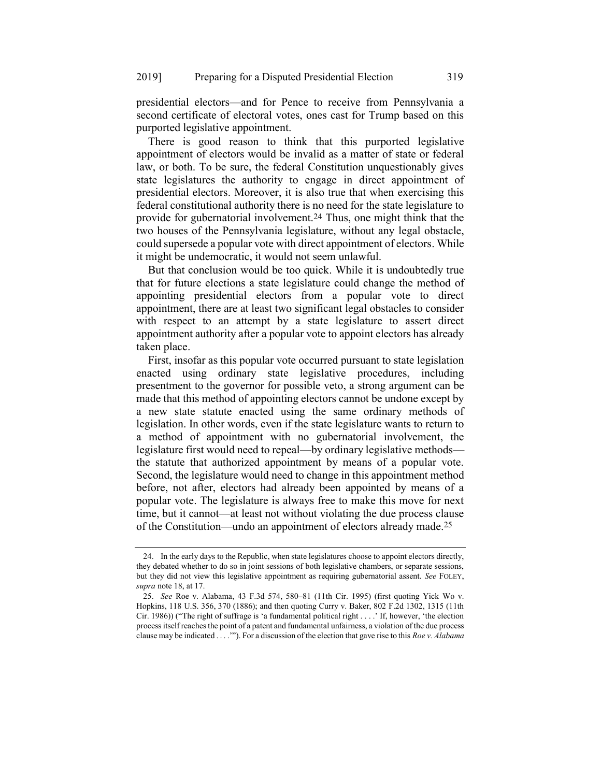presidential electors—and for Pence to receive from Pennsylvania a second certificate of electoral votes, ones cast for Trump based on this purported legislative appointment.

There is good reason to think that this purported legislative appointment of electors would be invalid as a matter of state or federal law, or both. To be sure, the federal Constitution unquestionably gives state legislatures the authority to engage in direct appointment of presidential electors. Moreover, it is also true that when exercising this federal constitutional authority there is no need for the state legislature to provide for gubernatorial involvement.24 Thus, one might think that the two houses of the Pennsylvania legislature, without any legal obstacle, could supersede a popular vote with direct appointment of electors. While it might be undemocratic, it would not seem unlawful.

But that conclusion would be too quick. While it is undoubtedly true that for future elections a state legislature could change the method of appointing presidential electors from a popular vote to direct appointment, there are at least two significant legal obstacles to consider with respect to an attempt by a state legislature to assert direct appointment authority after a popular vote to appoint electors has already taken place.

First, insofar as this popular vote occurred pursuant to state legislation enacted using ordinary state legislative procedures, including presentment to the governor for possible veto, a strong argument can be made that this method of appointing electors cannot be undone except by a new state statute enacted using the same ordinary methods of legislation. In other words, even if the state legislature wants to return to a method of appointment with no gubernatorial involvement, the legislature first would need to repeal—by ordinary legislative methods the statute that authorized appointment by means of a popular vote. Second, the legislature would need to change in this appointment method before, not after, electors had already been appointed by means of a popular vote. The legislature is always free to make this move for next time, but it cannot—at least not without violating the due process clause of the Constitution—undo an appointment of electors already made.25

<span id="page-10-0"></span><sup>24.</sup> In the early days to the Republic, when state legislatures choose to appoint electors directly, they debated whether to do so in joint sessions of both legislative chambers, or separate sessions, but they did not view this legislative appointment as requiring gubernatorial assent. *See* FOLEY, *supra* not[e 18,](#page-7-0) at 17.

<sup>25.</sup> *See* Roe v. Alabama, 43 F.3d 574, 580–81 (11th Cir. 1995) (first quoting Yick Wo v. Hopkins, 118 U.S. 356, 370 (1886); and then quoting Curry v. Baker, 802 F.2d 1302, 1315 (11th Cir. 1986)) ("The right of suffrage is 'a fundamental political right . . . .' If, however, 'the election process itself reaches the point of a patent and fundamental unfairness, a violation of the due process clause may be indicated . . . .'"). For a discussion of the election that gave rise to this *Roe v. Alabama*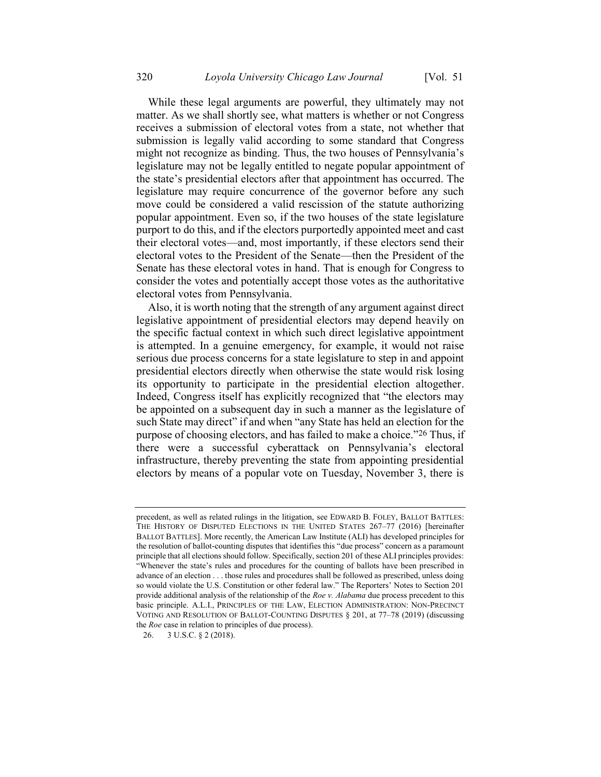While these legal arguments are powerful, they ultimately may not matter. As we shall shortly see, what matters is whether or not Congress receives a submission of electoral votes from a state, not whether that submission is legally valid according to some standard that Congress might not recognize as binding. Thus, the two houses of Pennsylvania's legislature may not be legally entitled to negate popular appointment of the state's presidential electors after that appointment has occurred. The legislature may require concurrence of the governor before any such move could be considered a valid rescission of the statute authorizing popular appointment. Even so, if the two houses of the state legislature purport to do this, and if the electors purportedly appointed meet and cast their electoral votes—and, most importantly, if these electors send their electoral votes to the President of the Senate—then the President of the Senate has these electoral votes in hand. That is enough for Congress to consider the votes and potentially accept those votes as the authoritative electoral votes from Pennsylvania.

Also, it is worth noting that the strength of any argument against direct legislative appointment of presidential electors may depend heavily on the specific factual context in which such direct legislative appointment is attempted. In a genuine emergency, for example, it would not raise serious due process concerns for a state legislature to step in and appoint presidential electors directly when otherwise the state would risk losing its opportunity to participate in the presidential election altogether. Indeed, Congress itself has explicitly recognized that "the electors may be appointed on a subsequent day in such a manner as the legislature of such State may direct" if and when "any State has held an election for the purpose of choosing electors, and has failed to make a choice."26 Thus, if there were a successful cyberattack on Pennsylvania's electoral infrastructure, thereby preventing the state from appointing presidential electors by means of a popular vote on Tuesday, November 3, there is

26. 3 U.S.C. § 2 (2018).

precedent, as well as related rulings in the litigation, see EDWARD B. FOLEY, BALLOT BATTLES: THE HISTORY OF DISPUTED ELECTIONS IN THE UNITED STATES 267–77 (2016) [hereinafter BALLOT BATTLES]. More recently, the American Law Institute (ALI) has developed principles for the resolution of ballot-counting disputes that identifies this "due process" concern as a paramount principle that all elections should follow. Specifically, section 201 of these ALI principles provides: "Whenever the state's rules and procedures for the counting of ballots have been prescribed in advance of an election . . . those rules and procedures shall be followed as prescribed, unless doing so would violate the U.S. Constitution or other federal law." The Reporters' Notes to Section 201 provide additional analysis of the relationship of the *Roe v. Alabama* due process precedent to this basic principle. A.L.I., PRINCIPLES OF THE LAW, ELECTION ADMINISTRATION: NON-PRECINCT VOTING AND RESOLUTION OF BALLOT-COUNTING DISPUTES § 201, at 77–78 (2019) (discussing the *Roe* case in relation to principles of due process).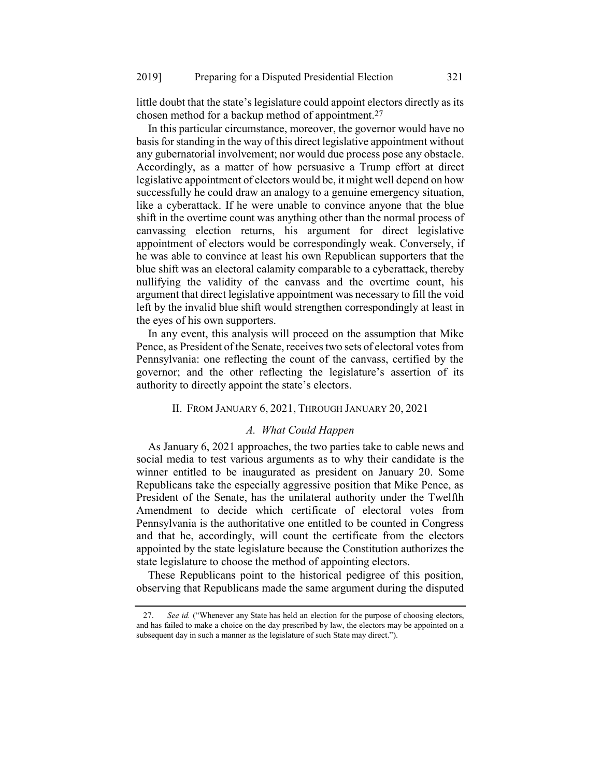little doubt that the state's legislature could appoint electors directly as its chosen method for a backup method of appointment. 27

In this particular circumstance, moreover, the governor would have no basis for standing in the way of this direct legislative appointment without any gubernatorial involvement; nor would due process pose any obstacle. Accordingly, as a matter of how persuasive a Trump effort at direct legislative appointment of electors would be, it might well depend on how successfully he could draw an analogy to a genuine emergency situation, like a cyberattack. If he were unable to convince anyone that the blue shift in the overtime count was anything other than the normal process of canvassing election returns, his argument for direct legislative appointment of electors would be correspondingly weak. Conversely, if he was able to convince at least his own Republican supporters that the blue shift was an electoral calamity comparable to a cyberattack, thereby nullifying the validity of the canvass and the overtime count, his argument that direct legislative appointment was necessary to fill the void left by the invalid blue shift would strengthen correspondingly at least in the eyes of his own supporters.

In any event, this analysis will proceed on the assumption that Mike Pence, as President of the Senate, receives two sets of electoral votes from Pennsylvania: one reflecting the count of the canvass, certified by the governor; and the other reflecting the legislature's assertion of its authority to directly appoint the state's electors.

#### II. FROM JANUARY 6, 2021, THROUGH JANUARY 20, 2021

### *A. What Could Happen*

As January 6, 2021 approaches, the two parties take to cable news and social media to test various arguments as to why their candidate is the winner entitled to be inaugurated as president on January 20. Some Republicans take the especially aggressive position that Mike Pence, as President of the Senate, has the unilateral authority under the Twelfth Amendment to decide which certificate of electoral votes from Pennsylvania is the authoritative one entitled to be counted in Congress and that he, accordingly, will count the certificate from the electors appointed by the state legislature because the Constitution authorizes the state legislature to choose the method of appointing electors.

These Republicans point to the historical pedigree of this position, observing that Republicans made the same argument during the disputed

<sup>27.</sup> *See id.* ("Whenever any State has held an election for the purpose of choosing electors, and has failed to make a choice on the day prescribed by law, the electors may be appointed on a subsequent day in such a manner as the legislature of such State may direct.").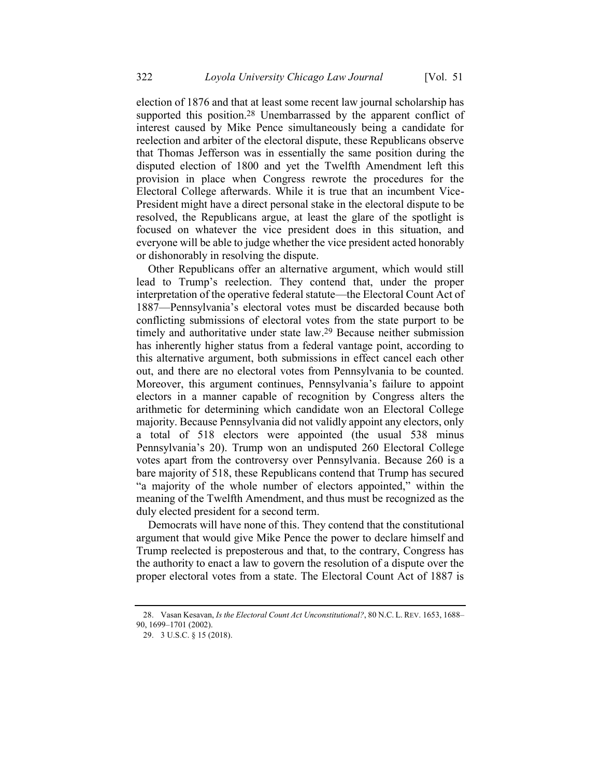<span id="page-13-0"></span>election of 1876 and that at least some recent law journal scholarship has supported this position.<sup>28</sup> Unembarrassed by the apparent conflict of interest caused by Mike Pence simultaneously being a candidate for reelection and arbiter of the electoral dispute, these Republicans observe that Thomas Jefferson was in essentially the same position during the disputed election of 1800 and yet the Twelfth Amendment left this provision in place when Congress rewrote the procedures for the Electoral College afterwards. While it is true that an incumbent Vice-President might have a direct personal stake in the electoral dispute to be resolved, the Republicans argue, at least the glare of the spotlight is focused on whatever the vice president does in this situation, and everyone will be able to judge whether the vice president acted honorably or dishonorably in resolving the dispute.

Other Republicans offer an alternative argument, which would still lead to Trump's reelection. They contend that, under the proper interpretation of the operative federal statute—the Electoral Count Act of 1887—Pennsylvania's electoral votes must be discarded because both conflicting submissions of electoral votes from the state purport to be timely and authoritative under state law. 29 Because neither submission has inherently higher status from a federal vantage point, according to this alternative argument, both submissions in effect cancel each other out, and there are no electoral votes from Pennsylvania to be counted. Moreover, this argument continues, Pennsylvania's failure to appoint electors in a manner capable of recognition by Congress alters the arithmetic for determining which candidate won an Electoral College majority. Because Pennsylvania did not validly appoint any electors, only a total of 518 electors were appointed (the usual 538 minus Pennsylvania's 20). Trump won an undisputed 260 Electoral College votes apart from the controversy over Pennsylvania. Because 260 is a bare majority of 518, these Republicans contend that Trump has secured "a majority of the whole number of electors appointed," within the meaning of the Twelfth Amendment, and thus must be recognized as the duly elected president for a second term.

Democrats will have none of this. They contend that the constitutional argument that would give Mike Pence the power to declare himself and Trump reelected is preposterous and that, to the contrary, Congress has the authority to enact a law to govern the resolution of a dispute over the proper electoral votes from a state. The Electoral Count Act of 1887 is

<sup>28.</sup> Vasan Kesavan, *Is the Electoral Count Act Unconstitutional?*, 80 N.C. L. REV. 1653, 1688– 90, 1699–1701 (2002).

<sup>29.</sup> 3 U.S.C. § 15 (2018).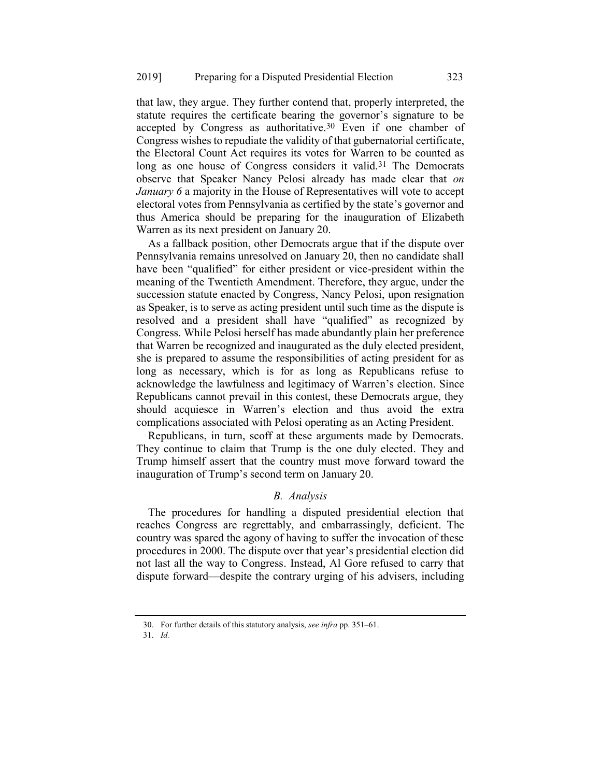that law, they argue. They further contend that, properly interpreted, the statute requires the certificate bearing the governor's signature to be accepted by Congress as authoritative.<sup>30</sup> Even if one chamber of Congress wishes to repudiate the validity of that gubernatorial certificate, the Electoral Count Act requires its votes for Warren to be counted as long as one house of Congress considers it valid.<sup>31</sup> The Democrats observe that Speaker Nancy Pelosi already has made clear that *on January 6* a majority in the House of Representatives will vote to accept electoral votes from Pennsylvania as certified by the state's governor and thus America should be preparing for the inauguration of Elizabeth Warren as its next president on January 20.

As a fallback position, other Democrats argue that if the dispute over Pennsylvania remains unresolved on January 20, then no candidate shall have been "qualified" for either president or vice-president within the meaning of the Twentieth Amendment. Therefore, they argue, under the succession statute enacted by Congress, Nancy Pelosi, upon resignation as Speaker, is to serve as acting president until such time as the dispute is resolved and a president shall have "qualified" as recognized by Congress. While Pelosi herself has made abundantly plain her preference that Warren be recognized and inaugurated as the duly elected president, she is prepared to assume the responsibilities of acting president for as long as necessary, which is for as long as Republicans refuse to acknowledge the lawfulness and legitimacy of Warren's election. Since Republicans cannot prevail in this contest, these Democrats argue, they should acquiesce in Warren's election and thus avoid the extra complications associated with Pelosi operating as an Acting President.

Republicans, in turn, scoff at these arguments made by Democrats. They continue to claim that Trump is the one duly elected. They and Trump himself assert that the country must move forward toward the inauguration of Trump's second term on January 20.

### *B. Analysis*

The procedures for handling a disputed presidential election that reaches Congress are regrettably, and embarrassingly, deficient. The country was spared the agony of having to suffer the invocation of these procedures in 2000. The dispute over that year's presidential election did not last all the way to Congress. Instead, Al Gore refused to carry that dispute forward—despite the contrary urging of his advisers, including

<sup>30.</sup> For further details of this statutory analysis, *see infra* pp. 351–61.

<sup>31.</sup> *Id.*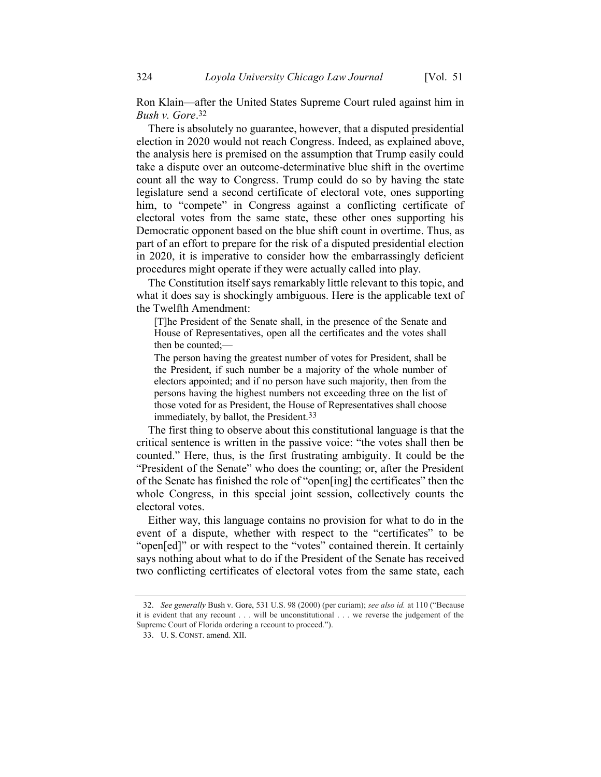Ron Klain—after the United States Supreme Court ruled against him in *Bush v. Gore*. 32

There is absolutely no guarantee, however, that a disputed presidential election in 2020 would not reach Congress. Indeed, as explained above, the analysis here is premised on the assumption that Trump easily could take a dispute over an outcome-determinative blue shift in the overtime count all the way to Congress. Trump could do so by having the state legislature send a second certificate of electoral vote, ones supporting him, to "compete" in Congress against a conflicting certificate of electoral votes from the same state, these other ones supporting his Democratic opponent based on the blue shift count in overtime. Thus, as part of an effort to prepare for the risk of a disputed presidential election in 2020, it is imperative to consider how the embarrassingly deficient procedures might operate if they were actually called into play.

The Constitution itself says remarkably little relevant to this topic, and what it does say is shockingly ambiguous. Here is the applicable text of the Twelfth Amendment:

[T]he President of the Senate shall, in the presence of the Senate and House of Representatives, open all the certificates and the votes shall then be counted;—

The person having the greatest number of votes for President, shall be the President, if such number be a majority of the whole number of electors appointed; and if no person have such majority, then from the persons having the highest numbers not exceeding three on the list of those voted for as President, the House of Representatives shall choose immediately, by ballot, the President.<sup>33</sup>

The first thing to observe about this constitutional language is that the critical sentence is written in the passive voice: "the votes shall then be counted." Here, thus, is the first frustrating ambiguity. It could be the "President of the Senate" who does the counting; or, after the President of the Senate has finished the role of "open[ing] the certificates" then the whole Congress, in this special joint session, collectively counts the electoral votes.

Either way, this language contains no provision for what to do in the event of a dispute, whether with respect to the "certificates" to be "open[ed]" or with respect to the "votes" contained therein. It certainly says nothing about what to do if the President of the Senate has received two conflicting certificates of electoral votes from the same state, each

<sup>32.</sup> *See generally* Bush v. Gore, 531 U.S. 98 (2000) (per curiam); *see also id.* at 110 ("Because it is evident that any recount . . . will be unconstitutional . . . we reverse the judgement of the Supreme Court of Florida ordering a recount to proceed.").

<sup>33.</sup> U. S. CONST. amend. XII.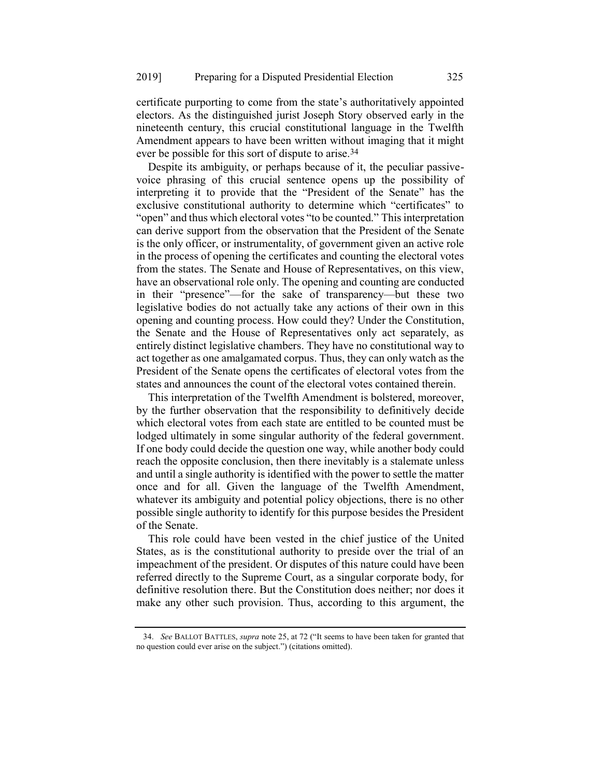certificate purporting to come from the state's authoritatively appointed electors. As the distinguished jurist Joseph Story observed early in the nineteenth century, this crucial constitutional language in the Twelfth Amendment appears to have been written without imaging that it might ever be possible for this sort of dispute to arise.34

Despite its ambiguity, or perhaps because of it, the peculiar passivevoice phrasing of this crucial sentence opens up the possibility of interpreting it to provide that the "President of the Senate" has the exclusive constitutional authority to determine which "certificates" to "open" and thus which electoral votes "to be counted." This interpretation can derive support from the observation that the President of the Senate is the only officer, or instrumentality, of government given an active role in the process of opening the certificates and counting the electoral votes from the states. The Senate and House of Representatives, on this view, have an observational role only. The opening and counting are conducted in their "presence"—for the sake of transparency—but these two legislative bodies do not actually take any actions of their own in this opening and counting process. How could they? Under the Constitution, the Senate and the House of Representatives only act separately, as entirely distinct legislative chambers. They have no constitutional way to act together as one amalgamated corpus. Thus, they can only watch as the President of the Senate opens the certificates of electoral votes from the states and announces the count of the electoral votes contained therein.

This interpretation of the Twelfth Amendment is bolstered, moreover, by the further observation that the responsibility to definitively decide which electoral votes from each state are entitled to be counted must be lodged ultimately in some singular authority of the federal government. If one body could decide the question one way, while another body could reach the opposite conclusion, then there inevitably is a stalemate unless and until a single authority is identified with the power to settle the matter once and for all. Given the language of the Twelfth Amendment, whatever its ambiguity and potential policy objections, there is no other possible single authority to identify for this purpose besides the President of the Senate.

This role could have been vested in the chief justice of the United States, as is the constitutional authority to preside over the trial of an impeachment of the president. Or disputes of this nature could have been referred directly to the Supreme Court, as a singular corporate body, for definitive resolution there. But the Constitution does neither; nor does it make any other such provision. Thus, according to this argument, the

<sup>34.</sup> *See* BALLOT BATTLES, *supra* not[e 25,](#page-10-0) at 72 ("It seems to have been taken for granted that no question could ever arise on the subject.") (citations omitted).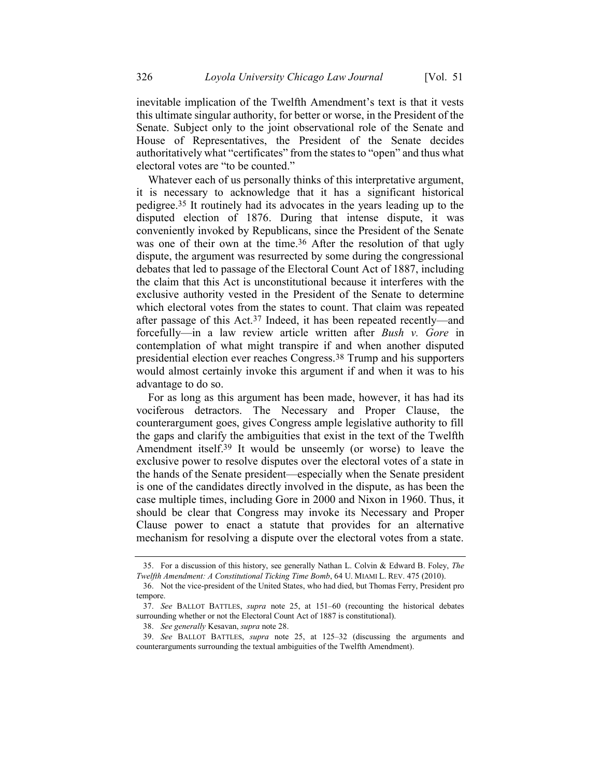inevitable implication of the Twelfth Amendment's text is that it vests this ultimate singular authority, for better or worse, in the President of the Senate. Subject only to the joint observational role of the Senate and House of Representatives, the President of the Senate decides authoritatively what "certificates" from the states to "open" and thus what electoral votes are "to be counted."

Whatever each of us personally thinks of this interpretative argument, it is necessary to acknowledge that it has a significant historical pedigree.35 It routinely had its advocates in the years leading up to the disputed election of 1876. During that intense dispute, it was conveniently invoked by Republicans, since the President of the Senate was one of their own at the time.<sup>36</sup> After the resolution of that ugly dispute, the argument was resurrected by some during the congressional debates that led to passage of the Electoral Count Act of 1887, including the claim that this Act is unconstitutional because it interferes with the exclusive authority vested in the President of the Senate to determine which electoral votes from the states to count. That claim was repeated after passage of this Act.37 Indeed, it has been repeated recently—and forcefully—in a law review article written after *Bush v. Gore* in contemplation of what might transpire if and when another disputed presidential election ever reaches Congress.38 Trump and his supporters would almost certainly invoke this argument if and when it was to his advantage to do so.

For as long as this argument has been made, however, it has had its vociferous detractors. The Necessary and Proper Clause, the counterargument goes, gives Congress ample legislative authority to fill the gaps and clarify the ambiguities that exist in the text of the Twelfth Amendment itself. 39 It would be unseemly (or worse) to leave the exclusive power to resolve disputes over the electoral votes of a state in the hands of the Senate president—especially when the Senate president is one of the candidates directly involved in the dispute, as has been the case multiple times, including Gore in 2000 and Nixon in 1960. Thus, it should be clear that Congress may invoke its Necessary and Proper Clause power to enact a statute that provides for an alternative mechanism for resolving a dispute over the electoral votes from a state.

<sup>35.</sup> For a discussion of this history, see generally Nathan L. Colvin & Edward B. Foley, *The Twelfth Amendment: A Constitutional Ticking Time Bomb*, 64 U. MIAMI L. REV. 475 (2010).

<sup>36.</sup> Not the vice-president of the United States, who had died, but Thomas Ferry, President pro tempore.

<sup>37.</sup> *See* BALLOT BATTLES, *supra* note [25,](#page-10-0) at 151–60 (recounting the historical debates surrounding whether or not the Electoral Count Act of 1887 is constitutional).

<sup>38.</sup> *See generally* Kesavan, *supra* not[e 28.](#page-13-0)

<sup>39.</sup> *See* BALLOT BATTLES, *supra* note [25,](#page-10-0) at 125–32 (discussing the arguments and counterarguments surrounding the textual ambiguities of the Twelfth Amendment).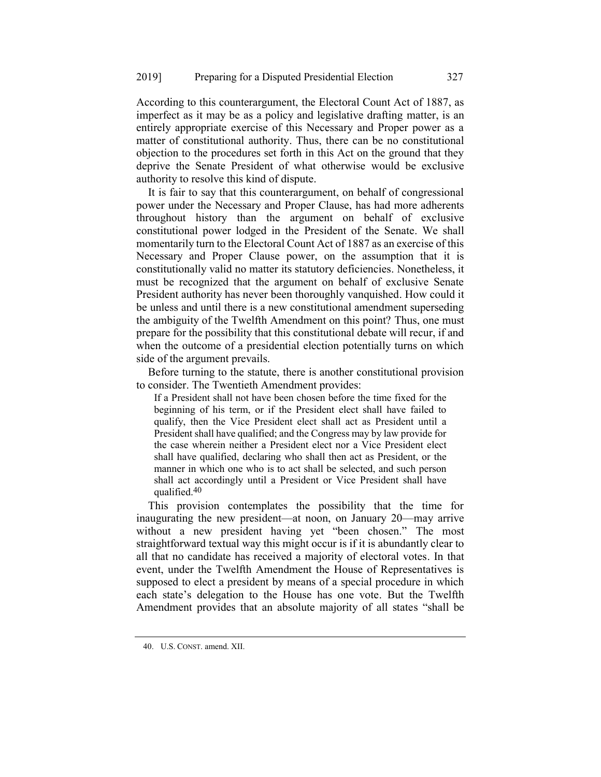According to this counterargument, the Electoral Count Act of 1887, as imperfect as it may be as a policy and legislative drafting matter, is an entirely appropriate exercise of this Necessary and Proper power as a matter of constitutional authority. Thus, there can be no constitutional objection to the procedures set forth in this Act on the ground that they deprive the Senate President of what otherwise would be exclusive authority to resolve this kind of dispute.

It is fair to say that this counterargument, on behalf of congressional power under the Necessary and Proper Clause, has had more adherents throughout history than the argument on behalf of exclusive constitutional power lodged in the President of the Senate. We shall momentarily turn to the Electoral Count Act of 1887 as an exercise of this Necessary and Proper Clause power, on the assumption that it is constitutionally valid no matter its statutory deficiencies. Nonetheless, it must be recognized that the argument on behalf of exclusive Senate President authority has never been thoroughly vanquished. How could it be unless and until there is a new constitutional amendment superseding the ambiguity of the Twelfth Amendment on this point? Thus, one must prepare for the possibility that this constitutional debate will recur, if and when the outcome of a presidential election potentially turns on which side of the argument prevails.

Before turning to the statute, there is another constitutional provision to consider. The Twentieth Amendment provides:

If a President shall not have been chosen before the time fixed for the beginning of his term, or if the President elect shall have failed to qualify, then the Vice President elect shall act as President until a President shall have qualified; and the Congress may by law provide for the case wherein neither a President elect nor a Vice President elect shall have qualified, declaring who shall then act as President, or the manner in which one who is to act shall be selected, and such person shall act accordingly until a President or Vice President shall have qualified.40

This provision contemplates the possibility that the time for inaugurating the new president—at noon, on January 20—may arrive without a new president having yet "been chosen." The most straightforward textual way this might occur is if it is abundantly clear to all that no candidate has received a majority of electoral votes. In that event, under the Twelfth Amendment the House of Representatives is supposed to elect a president by means of a special procedure in which each state's delegation to the House has one vote. But the Twelfth Amendment provides that an absolute majority of all states "shall be

<sup>40.</sup> U.S. CONST. amend. XII.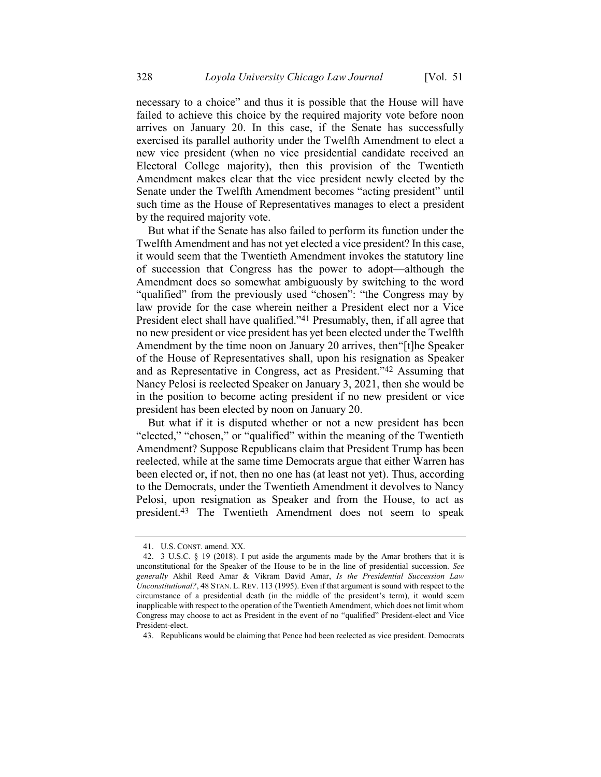necessary to a choice" and thus it is possible that the House will have failed to achieve this choice by the required majority vote before noon arrives on January 20. In this case, if the Senate has successfully exercised its parallel authority under the Twelfth Amendment to elect a new vice president (when no vice presidential candidate received an Electoral College majority), then this provision of the Twentieth Amendment makes clear that the vice president newly elected by the Senate under the Twelfth Amendment becomes "acting president" until such time as the House of Representatives manages to elect a president by the required majority vote.

But what if the Senate has also failed to perform its function under the Twelfth Amendment and has not yet elected a vice president? In this case, it would seem that the Twentieth Amendment invokes the statutory line of succession that Congress has the power to adopt—although the Amendment does so somewhat ambiguously by switching to the word "qualified" from the previously used "chosen": "the Congress may by law provide for the case wherein neither a President elect nor a Vice President elect shall have qualified."41 Presumably, then, if all agree that no new president or vice president has yet been elected under the Twelfth Amendment by the time noon on January 20 arrives, then"[t]he Speaker of the House of Representatives shall, upon his resignation as Speaker and as Representative in Congress, act as President."42 Assuming that Nancy Pelosi is reelected Speaker on January 3, 2021, then she would be in the position to become acting president if no new president or vice president has been elected by noon on January 20.

But what if it is disputed whether or not a new president has been "elected," "chosen," or "qualified" within the meaning of the Twentieth Amendment? Suppose Republicans claim that President Trump has been reelected, while at the same time Democrats argue that either Warren has been elected or, if not, then no one has (at least not yet). Thus, according to the Democrats, under the Twentieth Amendment it devolves to Nancy Pelosi, upon resignation as Speaker and from the House, to act as president. 43 The Twentieth Amendment does not seem to speak

<sup>41.</sup> U.S. CONST. amend. XX.

<sup>42.</sup> 3 U.S.C. § 19 (2018). I put aside the arguments made by the Amar brothers that it is unconstitutional for the Speaker of the House to be in the line of presidential succession. *See generally* Akhil Reed Amar & Vikram David Amar, *Is the Presidential Succession Law Unconstitutional?*, 48 STAN. L. REV. 113 (1995). Even if that argument is sound with respect to the circumstance of a presidential death (in the middle of the president's term), it would seem inapplicable with respect to the operation of the Twentieth Amendment, which does not limit whom Congress may choose to act as President in the event of no "qualified" President-elect and Vice President-elect.

<sup>43.</sup> Republicans would be claiming that Pence had been reelected as vice president. Democrats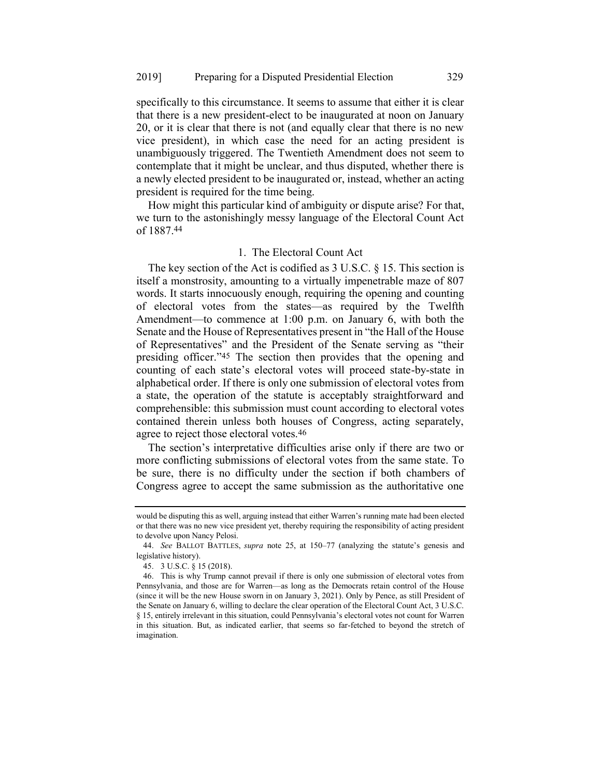specifically to this circumstance. It seems to assume that either it is clear that there is a new president-elect to be inaugurated at noon on January 20, or it is clear that there is not (and equally clear that there is no new vice president), in which case the need for an acting president is unambiguously triggered. The Twentieth Amendment does not seem to contemplate that it might be unclear, and thus disputed, whether there is a newly elected president to be inaugurated or, instead, whether an acting president is required for the time being.

How might this particular kind of ambiguity or dispute arise? For that, we turn to the astonishingly messy language of the Electoral Count Act of 1887.44

### 1. The Electoral Count Act

The key section of the Act is codified as 3 U.S.C. § 15. This section is itself a monstrosity, amounting to a virtually impenetrable maze of 807 words. It starts innocuously enough, requiring the opening and counting of electoral votes from the states—as required by the Twelfth Amendment—to commence at 1:00 p.m. on January 6, with both the Senate and the House of Representatives present in "the Hall of the House of Representatives" and the President of the Senate serving as "their presiding officer."45 The section then provides that the opening and counting of each state's electoral votes will proceed state-by-state in alphabetical order. If there is only one submission of electoral votes from a state, the operation of the statute is acceptably straightforward and comprehensible: this submission must count according to electoral votes contained therein unless both houses of Congress, acting separately, agree to reject those electoral votes.46

The section's interpretative difficulties arise only if there are two or more conflicting submissions of electoral votes from the same state. To be sure, there is no difficulty under the section if both chambers of Congress agree to accept the same submission as the authoritative one

would be disputing this as well, arguing instead that either Warren's running mate had been elected or that there was no new vice president yet, thereby requiring the responsibility of acting president to devolve upon Nancy Pelosi.

<sup>44.</sup> *See* BALLOT BATTLES, *supra* note [25,](#page-10-0) at 150–77 (analyzing the statute's genesis and legislative history).

<sup>45.</sup> 3 U.S.C. § 15 (2018).

<sup>46.</sup> This is why Trump cannot prevail if there is only one submission of electoral votes from Pennsylvania, and those are for Warren—as long as the Democrats retain control of the House (since it will be the new House sworn in on January 3, 2021). Only by Pence, as still President of the Senate on January 6, willing to declare the clear operation of the Electoral Count Act, 3 U.S.C. § 15, entirely irrelevant in this situation, could Pennsylvania's electoral votes not count for Warren in this situation. But, as indicated earlier, that seems so far-fetched to beyond the stretch of imagination.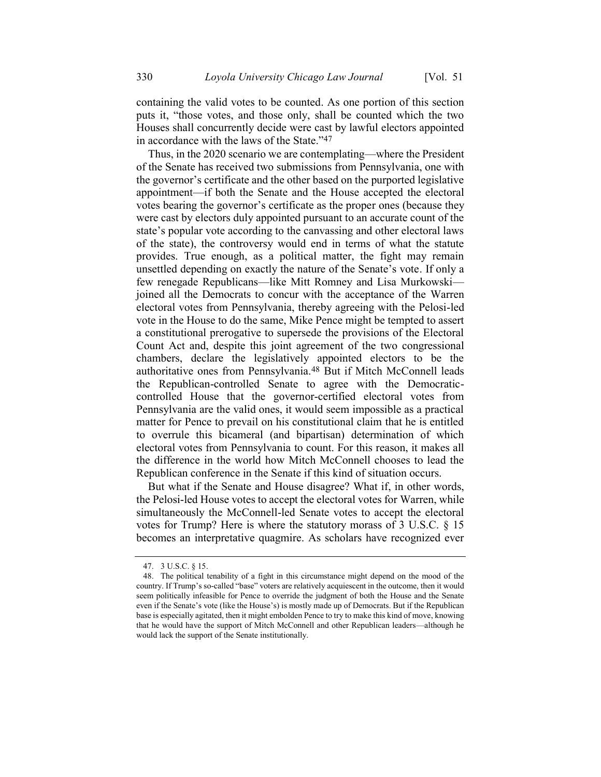containing the valid votes to be counted. As one portion of this section puts it, "those votes, and those only, shall be counted which the two Houses shall concurrently decide were cast by lawful electors appointed in accordance with the laws of the State."47

Thus, in the 2020 scenario we are contemplating—where the President of the Senate has received two submissions from Pennsylvania, one with the governor's certificate and the other based on the purported legislative appointment—if both the Senate and the House accepted the electoral votes bearing the governor's certificate as the proper ones (because they were cast by electors duly appointed pursuant to an accurate count of the state's popular vote according to the canvassing and other electoral laws of the state), the controversy would end in terms of what the statute provides. True enough, as a political matter, the fight may remain unsettled depending on exactly the nature of the Senate's vote. If only a few renegade Republicans—like Mitt Romney and Lisa Murkowski joined all the Democrats to concur with the acceptance of the Warren electoral votes from Pennsylvania, thereby agreeing with the Pelosi-led vote in the House to do the same, Mike Pence might be tempted to assert a constitutional prerogative to supersede the provisions of the Electoral Count Act and, despite this joint agreement of the two congressional chambers, declare the legislatively appointed electors to be the authoritative ones from Pennsylvania.48 But if Mitch McConnell leads the Republican-controlled Senate to agree with the Democraticcontrolled House that the governor-certified electoral votes from Pennsylvania are the valid ones, it would seem impossible as a practical matter for Pence to prevail on his constitutional claim that he is entitled to overrule this bicameral (and bipartisan) determination of which electoral votes from Pennsylvania to count. For this reason, it makes all the difference in the world how Mitch McConnell chooses to lead the Republican conference in the Senate if this kind of situation occurs.

But what if the Senate and House disagree? What if, in other words, the Pelosi-led House votes to accept the electoral votes for Warren, while simultaneously the McConnell-led Senate votes to accept the electoral votes for Trump? Here is where the statutory morass of 3 U.S.C. § 15 becomes an interpretative quagmire. As scholars have recognized ever

<sup>47.</sup> 3 U.S.C. § 15.

<sup>48.</sup> The political tenability of a fight in this circumstance might depend on the mood of the country. If Trump's so-called "base" voters are relatively acquiescent in the outcome, then it would seem politically infeasible for Pence to override the judgment of both the House and the Senate even if the Senate's vote (like the House's) is mostly made up of Democrats. But if the Republican base is especially agitated, then it might embolden Pence to try to make this kind of move, knowing that he would have the support of Mitch McConnell and other Republican leaders—although he would lack the support of the Senate institutionally.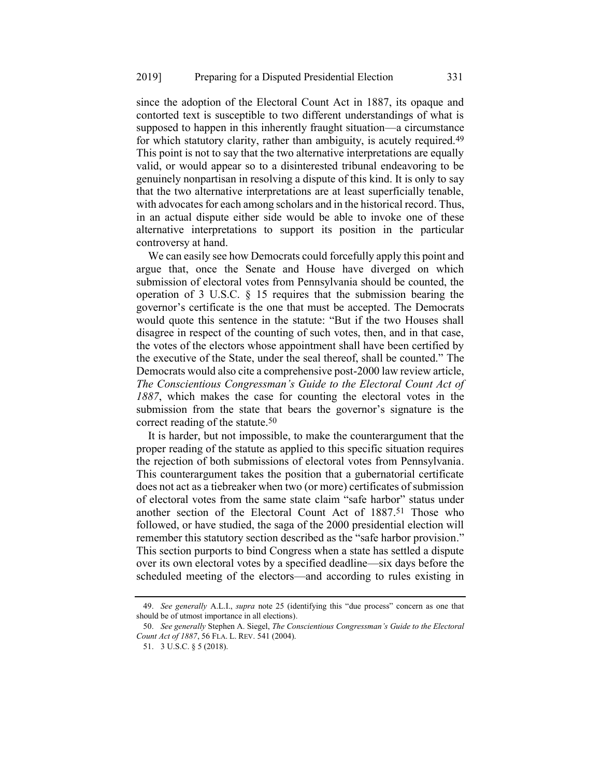since the adoption of the Electoral Count Act in 1887, its opaque and contorted text is susceptible to two different understandings of what is supposed to happen in this inherently fraught situation—a circumstance for which statutory clarity, rather than ambiguity, is acutely required.<sup>49</sup> This point is not to say that the two alternative interpretations are equally valid, or would appear so to a disinterested tribunal endeavoring to be genuinely nonpartisan in resolving a dispute of this kind. It is only to say that the two alternative interpretations are at least superficially tenable, with advocates for each among scholars and in the historical record. Thus, in an actual dispute either side would be able to invoke one of these alternative interpretations to support its position in the particular controversy at hand.

We can easily see how Democrats could forcefully apply this point and argue that, once the Senate and House have diverged on which submission of electoral votes from Pennsylvania should be counted, the operation of 3 U.S.C. § 15 requires that the submission bearing the governor's certificate is the one that must be accepted. The Democrats would quote this sentence in the statute: "But if the two Houses shall disagree in respect of the counting of such votes, then, and in that case, the votes of the electors whose appointment shall have been certified by the executive of the State, under the seal thereof, shall be counted." The Democrats would also cite a comprehensive post-2000 law review article, *The Conscientious Congressman's Guide to the Electoral Count Act of 1887*, which makes the case for counting the electoral votes in the submission from the state that bears the governor's signature is the correct reading of the statute.50

<span id="page-22-0"></span>It is harder, but not impossible, to make the counterargument that the proper reading of the statute as applied to this specific situation requires the rejection of both submissions of electoral votes from Pennsylvania. This counterargument takes the position that a gubernatorial certificate does not act as a tiebreaker when two (or more) certificates of submission of electoral votes from the same state claim "safe harbor" status under another section of the Electoral Count Act of 1887. 51 Those who followed, or have studied, the saga of the 2000 presidential election will remember this statutory section described as the "safe harbor provision." This section purports to bind Congress when a state has settled a dispute over its own electoral votes by a specified deadline—six days before the scheduled meeting of the electors—and according to rules existing in

<sup>49.</sup> *See generally* A.L.I., *supra* note [25](#page-10-0) (identifying this "due process" concern as one that should be of utmost importance in all elections).

<sup>50.</sup> *See generally* Stephen A. Siegel, *The Conscientious Congressman's Guide to the Electoral Count Act of 1887*, 56 FLA. L. REV. 541 (2004).

<sup>51.</sup> 3 U.S.C. § 5 (2018).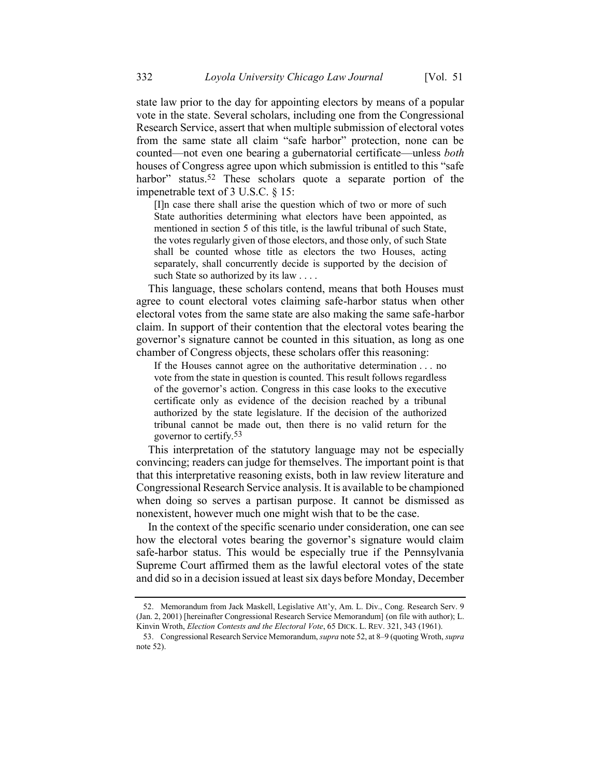state law prior to the day for appointing electors by means of a popular vote in the state. Several scholars, including one from the Congressional Research Service, assert that when multiple submission of electoral votes from the same state all claim "safe harbor" protection, none can be counted—not even one bearing a gubernatorial certificate—unless *both* houses of Congress agree upon which submission is entitled to this "safe harbor" status.<sup>52</sup> These scholars quote a separate portion of the impenetrable text of 3 U.S.C. § 15:

<span id="page-23-0"></span>[I]n case there shall arise the question which of two or more of such State authorities determining what electors have been appointed, as mentioned in section 5 of this title, is the lawful tribunal of such State, the votes regularly given of those electors, and those only, of such State shall be counted whose title as electors the two Houses, acting separately, shall concurrently decide is supported by the decision of such State so authorized by its law . . . .

This language, these scholars contend, means that both Houses must agree to count electoral votes claiming safe-harbor status when other electoral votes from the same state are also making the same safe-harbor claim. In support of their contention that the electoral votes bearing the governor's signature cannot be counted in this situation, as long as one chamber of Congress objects, these scholars offer this reasoning:

If the Houses cannot agree on the authoritative determination . . . no vote from the state in question is counted. This result follows regardless of the governor's action. Congress in this case looks to the executive certificate only as evidence of the decision reached by a tribunal authorized by the state legislature. If the decision of the authorized tribunal cannot be made out, then there is no valid return for the governor to certify.53

This interpretation of the statutory language may not be especially convincing; readers can judge for themselves. The important point is that that this interpretative reasoning exists, both in law review literature and Congressional Research Service analysis. It is available to be championed when doing so serves a partisan purpose. It cannot be dismissed as nonexistent, however much one might wish that to be the case.

In the context of the specific scenario under consideration, one can see how the electoral votes bearing the governor's signature would claim safe-harbor status. This would be especially true if the Pennsylvania Supreme Court affirmed them as the lawful electoral votes of the state and did so in a decision issued at least six days before Monday, December

<sup>52.</sup> Memorandum from Jack Maskell, Legislative Att'y, Am. L. Div., Cong. Research Serv. 9 (Jan. 2, 2001) [hereinafter Congressional Research Service Memorandum] (on file with author); L. Kinvin Wroth, *Election Contests and the Electoral Vote*, 65 DICK. L. REV. 321, 343 (1961).

<sup>53.</sup> Congressional Research Service Memorandum, *supra* not[e 52,](#page-23-0) at 8–9 (quoting Wroth, *supra*  note [52\)](#page-23-0).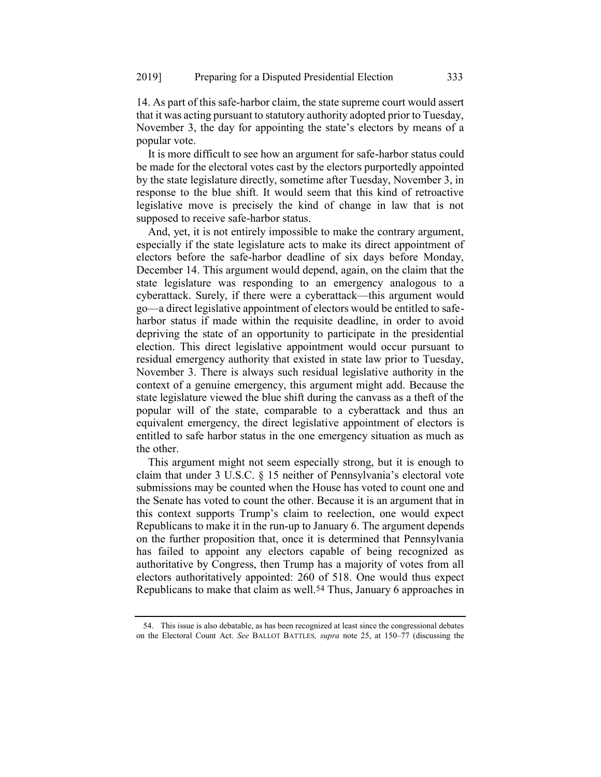14. As part of this safe-harbor claim, the state supreme court would assert that it was acting pursuant to statutory authority adopted prior to Tuesday, November 3, the day for appointing the state's electors by means of a popular vote.

It is more difficult to see how an argument for safe-harbor status could be made for the electoral votes cast by the electors purportedly appointed by the state legislature directly, sometime after Tuesday, November 3, in response to the blue shift. It would seem that this kind of retroactive legislative move is precisely the kind of change in law that is not supposed to receive safe-harbor status.

And, yet, it is not entirely impossible to make the contrary argument, especially if the state legislature acts to make its direct appointment of electors before the safe-harbor deadline of six days before Monday, December 14. This argument would depend, again, on the claim that the state legislature was responding to an emergency analogous to a cyberattack. Surely, if there were a cyberattack—this argument would go—a direct legislative appointment of electors would be entitled to safeharbor status if made within the requisite deadline, in order to avoid depriving the state of an opportunity to participate in the presidential election. This direct legislative appointment would occur pursuant to residual emergency authority that existed in state law prior to Tuesday, November 3. There is always such residual legislative authority in the context of a genuine emergency, this argument might add. Because the state legislature viewed the blue shift during the canvass as a theft of the popular will of the state, comparable to a cyberattack and thus an equivalent emergency, the direct legislative appointment of electors is entitled to safe harbor status in the one emergency situation as much as the other.

This argument might not seem especially strong, but it is enough to claim that under 3 U.S.C. § 15 neither of Pennsylvania's electoral vote submissions may be counted when the House has voted to count one and the Senate has voted to count the other. Because it is an argument that in this context supports Trump's claim to reelection, one would expect Republicans to make it in the run-up to January 6. The argument depends on the further proposition that, once it is determined that Pennsylvania has failed to appoint any electors capable of being recognized as authoritative by Congress, then Trump has a majority of votes from all electors authoritatively appointed: 260 of 518. One would thus expect Republicans to make that claim as well.54 Thus, January 6 approaches in

<sup>54.</sup> This issue is also debatable, as has been recognized at least since the congressional debates on the Electoral Count Act. *See* BALLOT BATTLES*, supra* note [25,](#page-10-0) at 150–77 (discussing the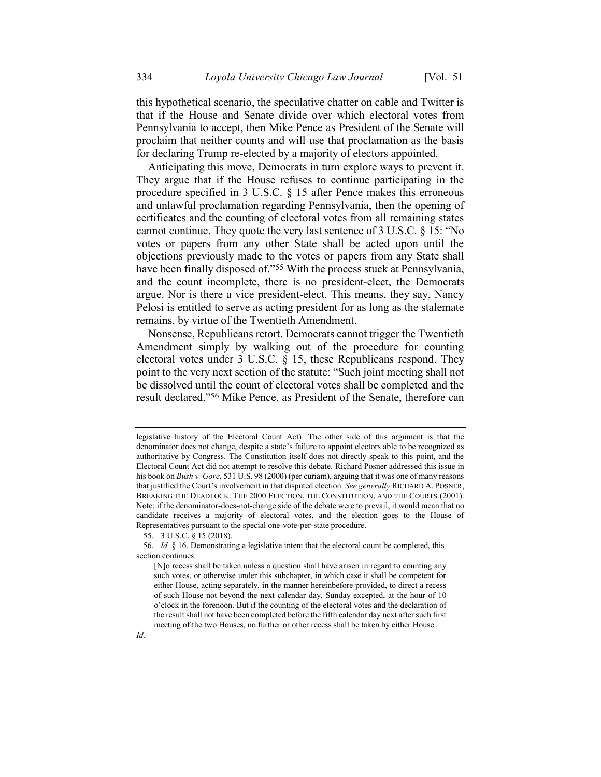this hypothetical scenario, the speculative chatter on cable and Twitter is that if the House and Senate divide over which electoral votes from Pennsylvania to accept, then Mike Pence as President of the Senate will proclaim that neither counts and will use that proclamation as the basis for declaring Trump re-elected by a majority of electors appointed.

Anticipating this move, Democrats in turn explore ways to prevent it. They argue that if the House refuses to continue participating in the procedure specified in 3 U.S.C. § 15 after Pence makes this erroneous and unlawful proclamation regarding Pennsylvania, then the opening of certificates and the counting of electoral votes from all remaining states cannot continue. They quote the very last sentence of 3 U.S.C. § 15: "No votes or papers from any other State shall be acted upon until the objections previously made to the votes or papers from any State shall have been finally disposed of."<sup>55</sup> With the process stuck at Pennsylvania, and the count incomplete, there is no president-elect, the Democrats argue. Nor is there a vice president-elect. This means, they say, Nancy Pelosi is entitled to serve as acting president for as long as the stalemate remains, by virtue of the Twentieth Amendment.

Nonsense, Republicans retort. Democrats cannot trigger the Twentieth Amendment simply by walking out of the procedure for counting electoral votes under 3 U.S.C. § 15, these Republicans respond. They point to the very next section of the statute: "Such joint meeting shall not be dissolved until the count of electoral votes shall be completed and the result declared."56 Mike Pence, as President of the Senate, therefore can

legislative history of the Electoral Count Act). The other side of this argument is that the denominator does not change, despite a state's failure to appoint electors able to be recognized as authoritative by Congress. The Constitution itself does not directly speak to this point, and the Electoral Count Act did not attempt to resolve this debate. Richard Posner addressed this issue in his book on *Bush v. Gore*, 531 U.S. 98 (2000) (per curiam), arguing that it was one of many reasons that justified the Court's involvement in that disputed election. *See generally* RICHARD A. POSNER, BREAKING THE DEADLOCK: THE 2000 ELECTION, THE CONSTITUTION, AND THE COURTS (2001). Note: if the denominator-does-not-change side of the debate were to prevail, it would mean that no candidate receives a majority of electoral votes, and the election goes to the House of Representatives pursuant to the special one-vote-per-state procedure.

<sup>55.</sup> 3 U.S.C. § 15 (2018).

<sup>56.</sup> *Id.* § 16. Demonstrating a legislative intent that the electoral count be completed, this section continues:

<sup>[</sup>N]o recess shall be taken unless a question shall have arisen in regard to counting any such votes, or otherwise under this subchapter, in which case it shall be competent for either House, acting separately, in the manner hereinbefore provided, to direct a recess of such House not beyond the next calendar day, Sunday excepted, at the hour of 10 o'clock in the forenoon. But if the counting of the electoral votes and the declaration of the result shall not have been completed before the fifth calendar day next after such first meeting of the two Houses, no further or other recess shall be taken by either House.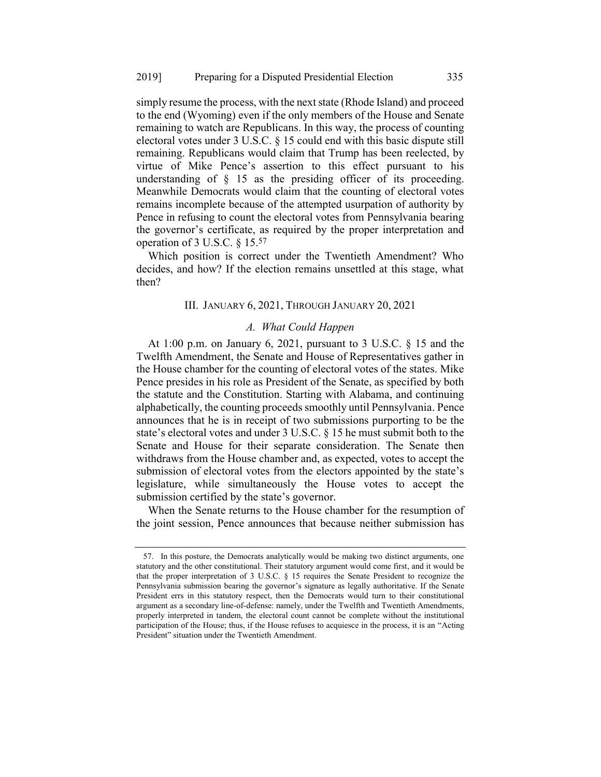simply resume the process, with the next state (Rhode Island) and proceed to the end (Wyoming) even if the only members of the House and Senate remaining to watch are Republicans. In this way, the process of counting electoral votes under 3 U.S.C. § 15 could end with this basic dispute still remaining. Republicans would claim that Trump has been reelected, by virtue of Mike Pence's assertion to this effect pursuant to his understanding of  $\S$  15 as the presiding officer of its proceeding. Meanwhile Democrats would claim that the counting of electoral votes remains incomplete because of the attempted usurpation of authority by Pence in refusing to count the electoral votes from Pennsylvania bearing the governor's certificate, as required by the proper interpretation and operation of 3 U.S.C. § 15.57

Which position is correct under the Twentieth Amendment? Who decides, and how? If the election remains unsettled at this stage, what then?

#### III. JANUARY 6, 2021, THROUGH JANUARY 20, 2021

### *A. What Could Happen*

At 1:00 p.m. on January 6, 2021, pursuant to 3 U.S.C. § 15 and the Twelfth Amendment, the Senate and House of Representatives gather in the House chamber for the counting of electoral votes of the states. Mike Pence presides in his role as President of the Senate, as specified by both the statute and the Constitution. Starting with Alabama, and continuing alphabetically, the counting proceeds smoothly until Pennsylvania. Pence announces that he is in receipt of two submissions purporting to be the state's electoral votes and under 3 U.S.C. § 15 he must submit both to the Senate and House for their separate consideration. The Senate then withdraws from the House chamber and, as expected, votes to accept the submission of electoral votes from the electors appointed by the state's legislature, while simultaneously the House votes to accept the submission certified by the state's governor.

When the Senate returns to the House chamber for the resumption of the joint session, Pence announces that because neither submission has

<sup>57.</sup> In this posture, the Democrats analytically would be making two distinct arguments, one statutory and the other constitutional. Their statutory argument would come first, and it would be that the proper interpretation of 3 U.S.C. § 15 requires the Senate President to recognize the Pennsylvania submission bearing the governor's signature as legally authoritative. If the Senate President errs in this statutory respect, then the Democrats would turn to their constitutional argument as a secondary line-of-defense: namely, under the Twelfth and Twentieth Amendments, properly interpreted in tandem, the electoral count cannot be complete without the institutional participation of the House; thus, if the House refuses to acquiesce in the process, it is an "Acting President" situation under the Twentieth Amendment.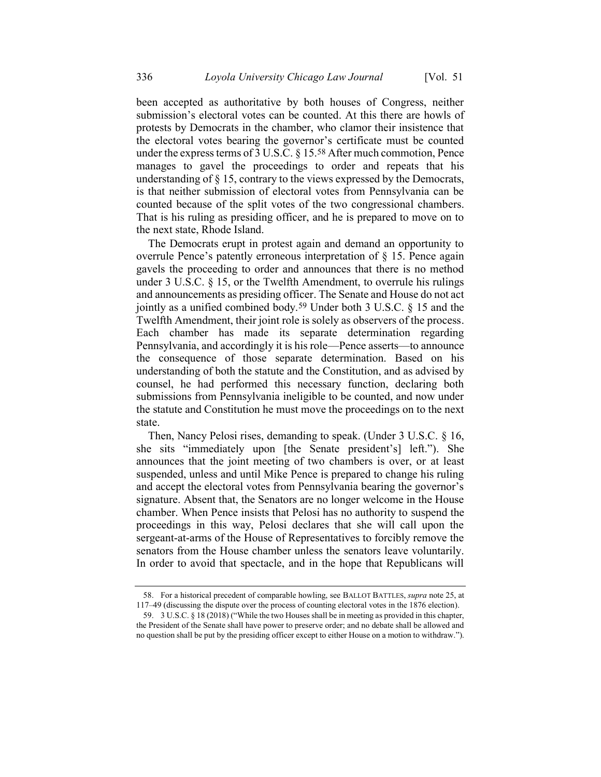been accepted as authoritative by both houses of Congress, neither submission's electoral votes can be counted. At this there are howls of protests by Democrats in the chamber, who clamor their insistence that the electoral votes bearing the governor's certificate must be counted under the express terms of 3 U.S.C. § 15.58 After much commotion, Pence manages to gavel the proceedings to order and repeats that his understanding of § 15, contrary to the views expressed by the Democrats, is that neither submission of electoral votes from Pennsylvania can be counted because of the split votes of the two congressional chambers. That is his ruling as presiding officer, and he is prepared to move on to the next state, Rhode Island.

The Democrats erupt in protest again and demand an opportunity to overrule Pence's patently erroneous interpretation of § 15. Pence again gavels the proceeding to order and announces that there is no method under 3 U.S.C. § 15, or the Twelfth Amendment, to overrule his rulings and announcements as presiding officer. The Senate and House do not act jointly as a unified combined body.59 Under both 3 U.S.C. § 15 and the Twelfth Amendment, their joint role is solely as observers of the process. Each chamber has made its separate determination regarding Pennsylvania, and accordingly it is his role—Pence asserts—to announce the consequence of those separate determination. Based on his understanding of both the statute and the Constitution, and as advised by counsel, he had performed this necessary function, declaring both submissions from Pennsylvania ineligible to be counted, and now under the statute and Constitution he must move the proceedings on to the next state.

Then, Nancy Pelosi rises, demanding to speak. (Under 3 U.S.C. § 16, she sits "immediately upon [the Senate president's] left."). She announces that the joint meeting of two chambers is over, or at least suspended, unless and until Mike Pence is prepared to change his ruling and accept the electoral votes from Pennsylvania bearing the governor's signature. Absent that, the Senators are no longer welcome in the House chamber. When Pence insists that Pelosi has no authority to suspend the proceedings in this way, Pelosi declares that she will call upon the sergeant-at-arms of the House of Representatives to forcibly remove the senators from the House chamber unless the senators leave voluntarily. In order to avoid that spectacle, and in the hope that Republicans will

<sup>58.</sup> For a historical precedent of comparable howling, see BALLOT BATTLES, *supra* note [25,](#page-10-0) at 117–49 (discussing the dispute over the process of counting electoral votes in the 1876 election).

<sup>59.</sup> 3 U.S.C. § 18 (2018) ("While the two Houses shall be in meeting as provided in this chapter, the President of the Senate shall have power to preserve order; and no debate shall be allowed and no question shall be put by the presiding officer except to either House on a motion to withdraw.").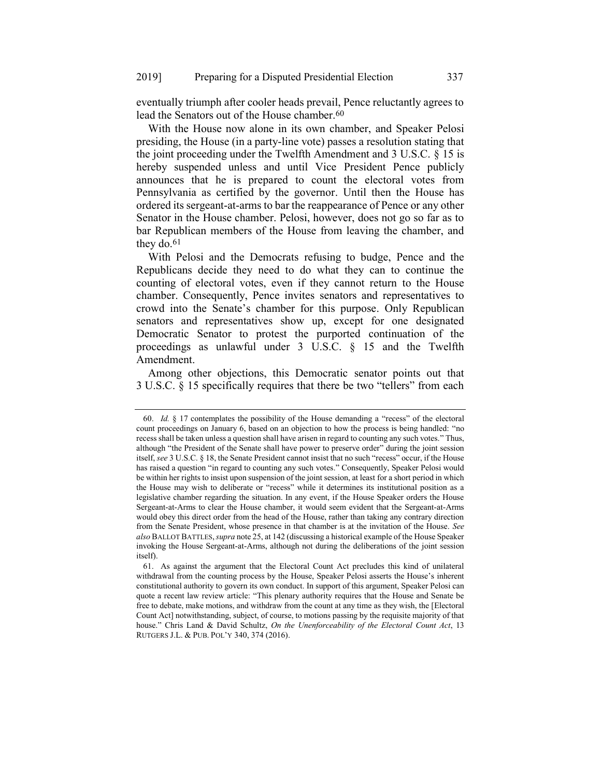eventually triumph after cooler heads prevail, Pence reluctantly agrees to lead the Senators out of the House chamber.<sup>60</sup>

With the House now alone in its own chamber, and Speaker Pelosi presiding, the House (in a party-line vote) passes a resolution stating that the joint proceeding under the Twelfth Amendment and 3 U.S.C. § 15 is hereby suspended unless and until Vice President Pence publicly announces that he is prepared to count the electoral votes from Pennsylvania as certified by the governor. Until then the House has ordered its sergeant-at-arms to bar the reappearance of Pence or any other Senator in the House chamber. Pelosi, however, does not go so far as to bar Republican members of the House from leaving the chamber, and they do.<sup>61</sup>

With Pelosi and the Democrats refusing to budge, Pence and the Republicans decide they need to do what they can to continue the counting of electoral votes, even if they cannot return to the House chamber. Consequently, Pence invites senators and representatives to crowd into the Senate's chamber for this purpose. Only Republican senators and representatives show up, except for one designated Democratic Senator to protest the purported continuation of the proceedings as unlawful under 3 U.S.C. § 15 and the Twelfth Amendment.

Among other objections, this Democratic senator points out that 3 U.S.C. § 15 specifically requires that there be two "tellers" from each

<sup>60.</sup> *Id.* § 17 contemplates the possibility of the House demanding a "recess" of the electoral count proceedings on January 6, based on an objection to how the process is being handled: "no recess shall be taken unless a question shall have arisen in regard to counting any such votes." Thus, although "the President of the Senate shall have power to preserve order" during the joint session itself, *see* 3 U.S.C. § 18, the Senate President cannot insist that no such "recess" occur, if the House has raised a question "in regard to counting any such votes." Consequently, Speaker Pelosi would be within her rights to insist upon suspension of the joint session, at least for a short period in which the House may wish to deliberate or "recess" while it determines its institutional position as a legislative chamber regarding the situation. In any event, if the House Speaker orders the House Sergeant-at-Arms to clear the House chamber, it would seem evident that the Sergeant-at-Arms would obey this direct order from the head of the House, rather than taking any contrary direction from the Senate President, whose presence in that chamber is at the invitation of the House. *See also* BALLOT BATTLES,*supra* not[e 25,](#page-10-0) at 142 (discussing a historical example of the House Speaker invoking the House Sergeant-at-Arms, although not during the deliberations of the joint session itself).

<sup>61.</sup> As against the argument that the Electoral Count Act precludes this kind of unilateral withdrawal from the counting process by the House, Speaker Pelosi asserts the House's inherent constitutional authority to govern its own conduct. In support of this argument, Speaker Pelosi can quote a recent law review article: "This plenary authority requires that the House and Senate be free to debate, make motions, and withdraw from the count at any time as they wish, the [Electoral Count Act] notwithstanding, subject, of course, to motions passing by the requisite majority of that house." Chris Land & David Schultz, *On the Unenforceability of the Electoral Count Act*, 13 RUTGERS J.L. & PUB. POL'Y 340, 374 (2016).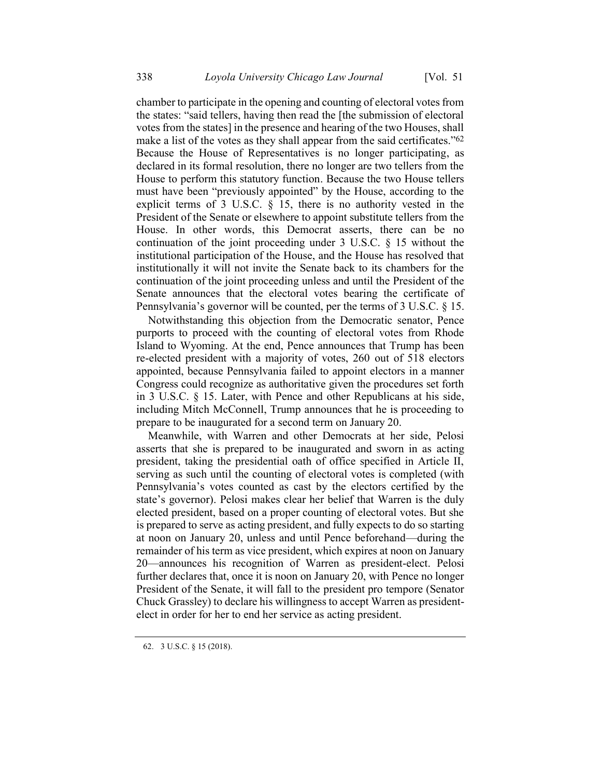chamber to participate in the opening and counting of electoral votes from the states: "said tellers, having then read the [the submission of electoral votes from the states] in the presence and hearing of the two Houses, shall make a list of the votes as they shall appear from the said certificates."<sup>62</sup> Because the House of Representatives is no longer participating, as declared in its formal resolution, there no longer are two tellers from the House to perform this statutory function. Because the two House tellers must have been "previously appointed" by the House, according to the explicit terms of 3 U.S.C. § 15, there is no authority vested in the President of the Senate or elsewhere to appoint substitute tellers from the House. In other words, this Democrat asserts, there can be no continuation of the joint proceeding under 3 U.S.C. § 15 without the institutional participation of the House, and the House has resolved that institutionally it will not invite the Senate back to its chambers for the continuation of the joint proceeding unless and until the President of the Senate announces that the electoral votes bearing the certificate of Pennsylvania's governor will be counted, per the terms of 3 U.S.C. § 15.

Notwithstanding this objection from the Democratic senator, Pence purports to proceed with the counting of electoral votes from Rhode Island to Wyoming. At the end, Pence announces that Trump has been re-elected president with a majority of votes, 260 out of 518 electors appointed, because Pennsylvania failed to appoint electors in a manner Congress could recognize as authoritative given the procedures set forth in 3 U.S.C. § 15. Later, with Pence and other Republicans at his side, including Mitch McConnell, Trump announces that he is proceeding to prepare to be inaugurated for a second term on January 20.

Meanwhile, with Warren and other Democrats at her side, Pelosi asserts that she is prepared to be inaugurated and sworn in as acting president, taking the presidential oath of office specified in Article II, serving as such until the counting of electoral votes is completed (with Pennsylvania's votes counted as cast by the electors certified by the state's governor). Pelosi makes clear her belief that Warren is the duly elected president, based on a proper counting of electoral votes. But she is prepared to serve as acting president, and fully expects to do so starting at noon on January 20, unless and until Pence beforehand—during the remainder of his term as vice president, which expires at noon on January 20—announces his recognition of Warren as president-elect. Pelosi further declares that, once it is noon on January 20, with Pence no longer President of the Senate, it will fall to the president pro tempore (Senator Chuck Grassley) to declare his willingness to accept Warren as presidentelect in order for her to end her service as acting president.

<sup>62.</sup> 3 U.S.C. § 15 (2018).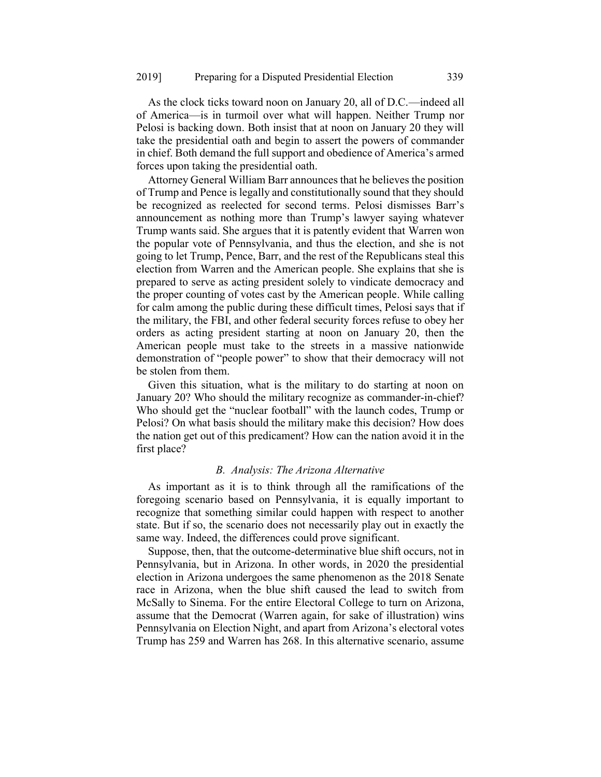As the clock ticks toward noon on January 20, all of D.C.—indeed all of America—is in turmoil over what will happen. Neither Trump nor Pelosi is backing down. Both insist that at noon on January 20 they will take the presidential oath and begin to assert the powers of commander in chief. Both demand the full support and obedience of America's armed forces upon taking the presidential oath.

Attorney General William Barr announces that he believes the position of Trump and Pence is legally and constitutionally sound that they should be recognized as reelected for second terms. Pelosi dismisses Barr's announcement as nothing more than Trump's lawyer saying whatever Trump wants said. She argues that it is patently evident that Warren won the popular vote of Pennsylvania, and thus the election, and she is not going to let Trump, Pence, Barr, and the rest of the Republicans steal this election from Warren and the American people. She explains that she is prepared to serve as acting president solely to vindicate democracy and the proper counting of votes cast by the American people. While calling for calm among the public during these difficult times, Pelosi says that if the military, the FBI, and other federal security forces refuse to obey her orders as acting president starting at noon on January 20, then the American people must take to the streets in a massive nationwide demonstration of "people power" to show that their democracy will not be stolen from them.

Given this situation, what is the military to do starting at noon on January 20? Who should the military recognize as commander-in-chief? Who should get the "nuclear football" with the launch codes, Trump or Pelosi? On what basis should the military make this decision? How does the nation get out of this predicament? How can the nation avoid it in the first place?

### *B. Analysis: The Arizona Alternative*

As important as it is to think through all the ramifications of the foregoing scenario based on Pennsylvania, it is equally important to recognize that something similar could happen with respect to another state. But if so, the scenario does not necessarily play out in exactly the same way. Indeed, the differences could prove significant.

Suppose, then, that the outcome-determinative blue shift occurs, not in Pennsylvania, but in Arizona. In other words, in 2020 the presidential election in Arizona undergoes the same phenomenon as the 2018 Senate race in Arizona, when the blue shift caused the lead to switch from McSally to Sinema. For the entire Electoral College to turn on Arizona, assume that the Democrat (Warren again, for sake of illustration) wins Pennsylvania on Election Night, and apart from Arizona's electoral votes Trump has 259 and Warren has 268. In this alternative scenario, assume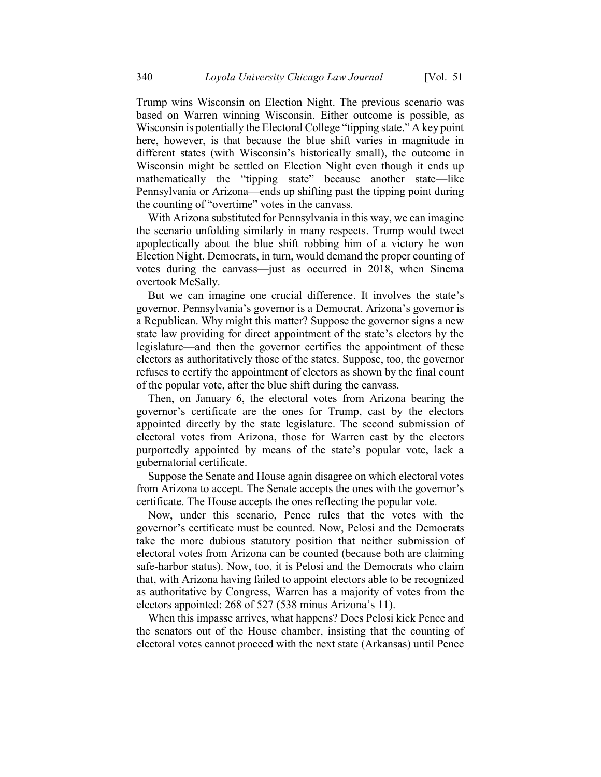Trump wins Wisconsin on Election Night. The previous scenario was based on Warren winning Wisconsin. Either outcome is possible, as Wisconsin is potentially the Electoral College "tipping state." A key point here, however, is that because the blue shift varies in magnitude in different states (with Wisconsin's historically small), the outcome in Wisconsin might be settled on Election Night even though it ends up mathematically the "tipping state" because another state—like Pennsylvania or Arizona—ends up shifting past the tipping point during the counting of "overtime" votes in the canvass.

With Arizona substituted for Pennsylvania in this way, we can imagine the scenario unfolding similarly in many respects. Trump would tweet apoplectically about the blue shift robbing him of a victory he won Election Night. Democrats, in turn, would demand the proper counting of votes during the canvass—just as occurred in 2018, when Sinema overtook McSally.

But we can imagine one crucial difference. It involves the state's governor. Pennsylvania's governor is a Democrat. Arizona's governor is a Republican. Why might this matter? Suppose the governor signs a new state law providing for direct appointment of the state's electors by the legislature—and then the governor certifies the appointment of these electors as authoritatively those of the states. Suppose, too, the governor refuses to certify the appointment of electors as shown by the final count of the popular vote, after the blue shift during the canvass.

Then, on January 6, the electoral votes from Arizona bearing the governor's certificate are the ones for Trump, cast by the electors appointed directly by the state legislature. The second submission of electoral votes from Arizona, those for Warren cast by the electors purportedly appointed by means of the state's popular vote, lack a gubernatorial certificate.

Suppose the Senate and House again disagree on which electoral votes from Arizona to accept. The Senate accepts the ones with the governor's certificate. The House accepts the ones reflecting the popular vote.

Now, under this scenario, Pence rules that the votes with the governor's certificate must be counted. Now, Pelosi and the Democrats take the more dubious statutory position that neither submission of electoral votes from Arizona can be counted (because both are claiming safe-harbor status). Now, too, it is Pelosi and the Democrats who claim that, with Arizona having failed to appoint electors able to be recognized as authoritative by Congress, Warren has a majority of votes from the electors appointed: 268 of 527 (538 minus Arizona's 11).

When this impasse arrives, what happens? Does Pelosi kick Pence and the senators out of the House chamber, insisting that the counting of electoral votes cannot proceed with the next state (Arkansas) until Pence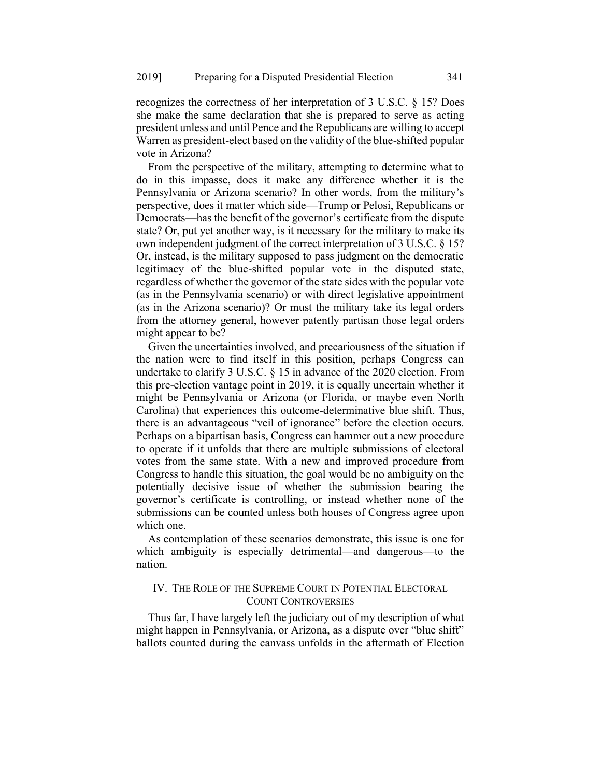recognizes the correctness of her interpretation of 3 U.S.C. § 15? Does she make the same declaration that she is prepared to serve as acting president unless and until Pence and the Republicans are willing to accept Warren as president-elect based on the validity of the blue-shifted popular vote in Arizona?

From the perspective of the military, attempting to determine what to do in this impasse, does it make any difference whether it is the Pennsylvania or Arizona scenario? In other words, from the military's perspective, does it matter which side—Trump or Pelosi, Republicans or Democrats—has the benefit of the governor's certificate from the dispute state? Or, put yet another way, is it necessary for the military to make its own independent judgment of the correct interpretation of 3 U.S.C. § 15? Or, instead, is the military supposed to pass judgment on the democratic legitimacy of the blue-shifted popular vote in the disputed state, regardless of whether the governor of the state sides with the popular vote (as in the Pennsylvania scenario) or with direct legislative appointment (as in the Arizona scenario)? Or must the military take its legal orders from the attorney general, however patently partisan those legal orders might appear to be?

Given the uncertainties involved, and precariousness of the situation if the nation were to find itself in this position, perhaps Congress can undertake to clarify 3 U.S.C. § 15 in advance of the 2020 election. From this pre-election vantage point in 2019, it is equally uncertain whether it might be Pennsylvania or Arizona (or Florida, or maybe even North Carolina) that experiences this outcome-determinative blue shift. Thus, there is an advantageous "veil of ignorance" before the election occurs. Perhaps on a bipartisan basis, Congress can hammer out a new procedure to operate if it unfolds that there are multiple submissions of electoral votes from the same state. With a new and improved procedure from Congress to handle this situation, the goal would be no ambiguity on the potentially decisive issue of whether the submission bearing the governor's certificate is controlling, or instead whether none of the submissions can be counted unless both houses of Congress agree upon which one.

As contemplation of these scenarios demonstrate, this issue is one for which ambiguity is especially detrimental—and dangerous—to the nation.

# IV. THE ROLE OF THE SUPREME COURT IN POTENTIAL ELECTORAL COUNT CONTROVERSIES

Thus far, I have largely left the judiciary out of my description of what might happen in Pennsylvania, or Arizona, as a dispute over "blue shift" ballots counted during the canvass unfolds in the aftermath of Election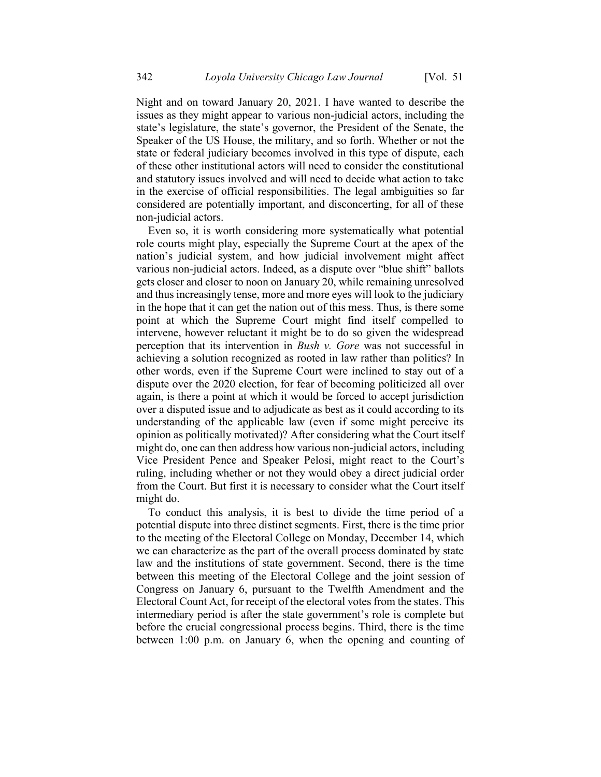Night and on toward January 20, 2021. I have wanted to describe the issues as they might appear to various non-judicial actors, including the state's legislature, the state's governor, the President of the Senate, the Speaker of the US House, the military, and so forth. Whether or not the state or federal judiciary becomes involved in this type of dispute, each of these other institutional actors will need to consider the constitutional and statutory issues involved and will need to decide what action to take in the exercise of official responsibilities. The legal ambiguities so far considered are potentially important, and disconcerting, for all of these non-judicial actors.

Even so, it is worth considering more systematically what potential role courts might play, especially the Supreme Court at the apex of the nation's judicial system, and how judicial involvement might affect various non-judicial actors. Indeed, as a dispute over "blue shift" ballots gets closer and closer to noon on January 20, while remaining unresolved and thus increasingly tense, more and more eyes will look to the judiciary in the hope that it can get the nation out of this mess. Thus, is there some point at which the Supreme Court might find itself compelled to intervene, however reluctant it might be to do so given the widespread perception that its intervention in *Bush v. Gore* was not successful in achieving a solution recognized as rooted in law rather than politics? In other words, even if the Supreme Court were inclined to stay out of a dispute over the 2020 election, for fear of becoming politicized all over again, is there a point at which it would be forced to accept jurisdiction over a disputed issue and to adjudicate as best as it could according to its understanding of the applicable law (even if some might perceive its opinion as politically motivated)? After considering what the Court itself might do, one can then address how various non-judicial actors, including Vice President Pence and Speaker Pelosi, might react to the Court's ruling, including whether or not they would obey a direct judicial order from the Court. But first it is necessary to consider what the Court itself might do.

To conduct this analysis, it is best to divide the time period of a potential dispute into three distinct segments. First, there is the time prior to the meeting of the Electoral College on Monday, December 14, which we can characterize as the part of the overall process dominated by state law and the institutions of state government. Second, there is the time between this meeting of the Electoral College and the joint session of Congress on January 6, pursuant to the Twelfth Amendment and the Electoral Count Act, for receipt of the electoral votes from the states. This intermediary period is after the state government's role is complete but before the crucial congressional process begins. Third, there is the time between 1:00 p.m. on January 6, when the opening and counting of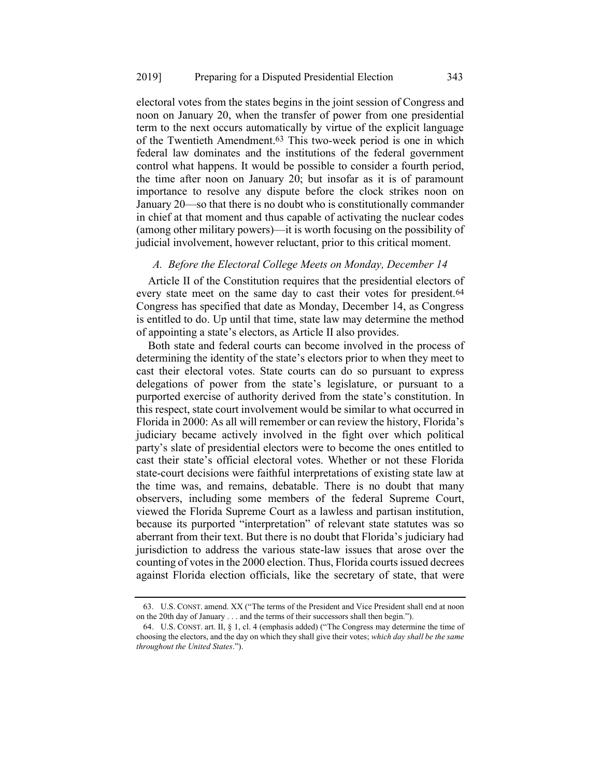electoral votes from the states begins in the joint session of Congress and noon on January 20, when the transfer of power from one presidential term to the next occurs automatically by virtue of the explicit language of the Twentieth Amendment. 63 This two-week period is one in which federal law dominates and the institutions of the federal government control what happens. It would be possible to consider a fourth period, the time after noon on January 20; but insofar as it is of paramount importance to resolve any dispute before the clock strikes noon on January 20—so that there is no doubt who is constitutionally commander in chief at that moment and thus capable of activating the nuclear codes (among other military powers)—it is worth focusing on the possibility of judicial involvement, however reluctant, prior to this critical moment.

### *A. Before the Electoral College Meets on Monday, December 14*

Article II of the Constitution requires that the presidential electors of every state meet on the same day to cast their votes for president.<sup>64</sup> Congress has specified that date as Monday, December 14, as Congress is entitled to do. Up until that time, state law may determine the method of appointing a state's electors, as Article II also provides.

Both state and federal courts can become involved in the process of determining the identity of the state's electors prior to when they meet to cast their electoral votes. State courts can do so pursuant to express delegations of power from the state's legislature, or pursuant to a purported exercise of authority derived from the state's constitution. In this respect, state court involvement would be similar to what occurred in Florida in 2000: As all will remember or can review the history, Florida's judiciary became actively involved in the fight over which political party's slate of presidential electors were to become the ones entitled to cast their state's official electoral votes. Whether or not these Florida state-court decisions were faithful interpretations of existing state law at the time was, and remains, debatable. There is no doubt that many observers, including some members of the federal Supreme Court, viewed the Florida Supreme Court as a lawless and partisan institution, because its purported "interpretation" of relevant state statutes was so aberrant from their text. But there is no doubt that Florida's judiciary had jurisdiction to address the various state-law issues that arose over the counting of votes in the 2000 election. Thus, Florida courts issued decrees against Florida election officials, like the secretary of state, that were

<sup>63.</sup> U.S. CONST. amend. XX ("The terms of the President and Vice President shall end at noon on the 20th day of January . . . and the terms of their successors shall then begin.").

<sup>64.</sup> U.S. CONST. art. II,  $\S$  1, cl. 4 (emphasis added) ("The Congress may determine the time of choosing the electors, and the day on which they shall give their votes; *which day shall be the same throughout the United States*.").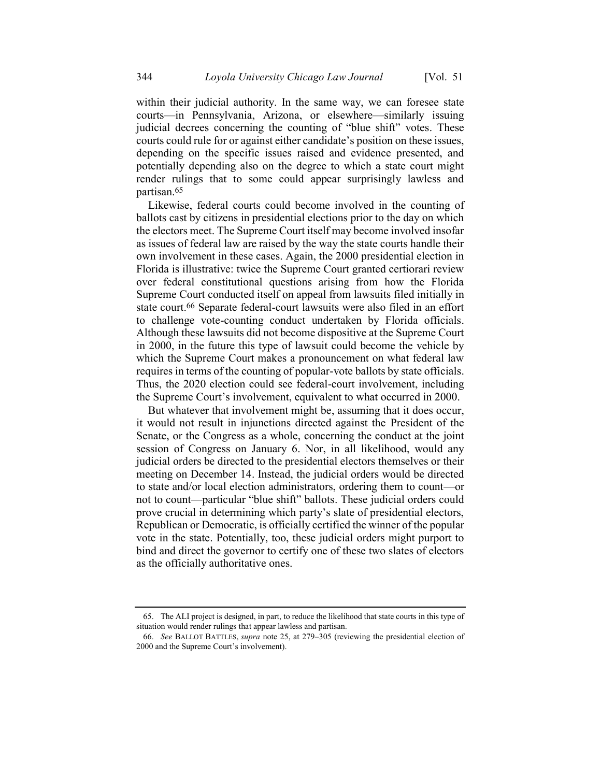within their judicial authority. In the same way, we can foresee state courts—in Pennsylvania, Arizona, or elsewhere—similarly issuing judicial decrees concerning the counting of "blue shift" votes. These courts could rule for or against either candidate's position on these issues, depending on the specific issues raised and evidence presented, and potentially depending also on the degree to which a state court might render rulings that to some could appear surprisingly lawless and partisan.65

Likewise, federal courts could become involved in the counting of ballots cast by citizens in presidential elections prior to the day on which the electors meet. The Supreme Court itself may become involved insofar as issues of federal law are raised by the way the state courts handle their own involvement in these cases. Again, the 2000 presidential election in Florida is illustrative: twice the Supreme Court granted certiorari review over federal constitutional questions arising from how the Florida Supreme Court conducted itself on appeal from lawsuits filed initially in state court. 66 Separate federal-court lawsuits were also filed in an effort to challenge vote-counting conduct undertaken by Florida officials. Although these lawsuits did not become dispositive at the Supreme Court in 2000, in the future this type of lawsuit could become the vehicle by which the Supreme Court makes a pronouncement on what federal law requires in terms of the counting of popular-vote ballots by state officials. Thus, the 2020 election could see federal-court involvement, including the Supreme Court's involvement, equivalent to what occurred in 2000.

But whatever that involvement might be, assuming that it does occur, it would not result in injunctions directed against the President of the Senate, or the Congress as a whole, concerning the conduct at the joint session of Congress on January 6. Nor, in all likelihood, would any judicial orders be directed to the presidential electors themselves or their meeting on December 14. Instead, the judicial orders would be directed to state and/or local election administrators, ordering them to count—or not to count—particular "blue shift" ballots. These judicial orders could prove crucial in determining which party's slate of presidential electors, Republican or Democratic, is officially certified the winner of the popular vote in the state. Potentially, too, these judicial orders might purport to bind and direct the governor to certify one of these two slates of electors as the officially authoritative ones.

<sup>65.</sup> The ALI project is designed, in part, to reduce the likelihood that state courts in this type of situation would render rulings that appear lawless and partisan.

<sup>66.</sup> *See* BALLOT BATTLES, *supra* note [25,](#page-10-0) at 279–305 (reviewing the presidential election of 2000 and the Supreme Court's involvement).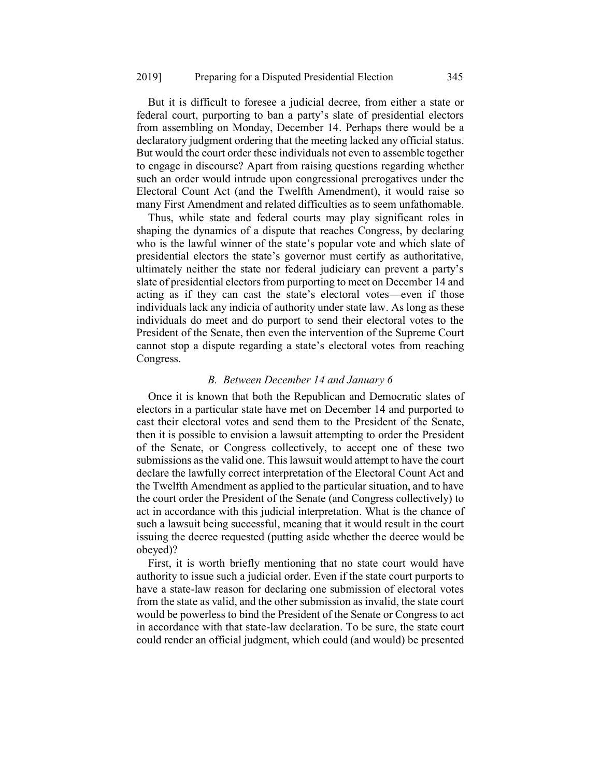But it is difficult to foresee a judicial decree, from either a state or federal court, purporting to ban a party's slate of presidential electors from assembling on Monday, December 14. Perhaps there would be a declaratory judgment ordering that the meeting lacked any official status. But would the court order these individuals not even to assemble together to engage in discourse? Apart from raising questions regarding whether such an order would intrude upon congressional prerogatives under the Electoral Count Act (and the Twelfth Amendment), it would raise so many First Amendment and related difficulties as to seem unfathomable.

Thus, while state and federal courts may play significant roles in shaping the dynamics of a dispute that reaches Congress, by declaring who is the lawful winner of the state's popular vote and which slate of presidential electors the state's governor must certify as authoritative, ultimately neither the state nor federal judiciary can prevent a party's slate of presidential electors from purporting to meet on December 14 and acting as if they can cast the state's electoral votes—even if those individuals lack any indicia of authority under state law. As long as these individuals do meet and do purport to send their electoral votes to the President of the Senate, then even the intervention of the Supreme Court cannot stop a dispute regarding a state's electoral votes from reaching Congress.

### *B. Between December 14 and January 6*

Once it is known that both the Republican and Democratic slates of electors in a particular state have met on December 14 and purported to cast their electoral votes and send them to the President of the Senate, then it is possible to envision a lawsuit attempting to order the President of the Senate, or Congress collectively, to accept one of these two submissions as the valid one. This lawsuit would attempt to have the court declare the lawfully correct interpretation of the Electoral Count Act and the Twelfth Amendment as applied to the particular situation, and to have the court order the President of the Senate (and Congress collectively) to act in accordance with this judicial interpretation. What is the chance of such a lawsuit being successful, meaning that it would result in the court issuing the decree requested (putting aside whether the decree would be obeyed)?

First, it is worth briefly mentioning that no state court would have authority to issue such a judicial order. Even if the state court purports to have a state-law reason for declaring one submission of electoral votes from the state as valid, and the other submission as invalid, the state court would be powerless to bind the President of the Senate or Congress to act in accordance with that state-law declaration. To be sure, the state court could render an official judgment, which could (and would) be presented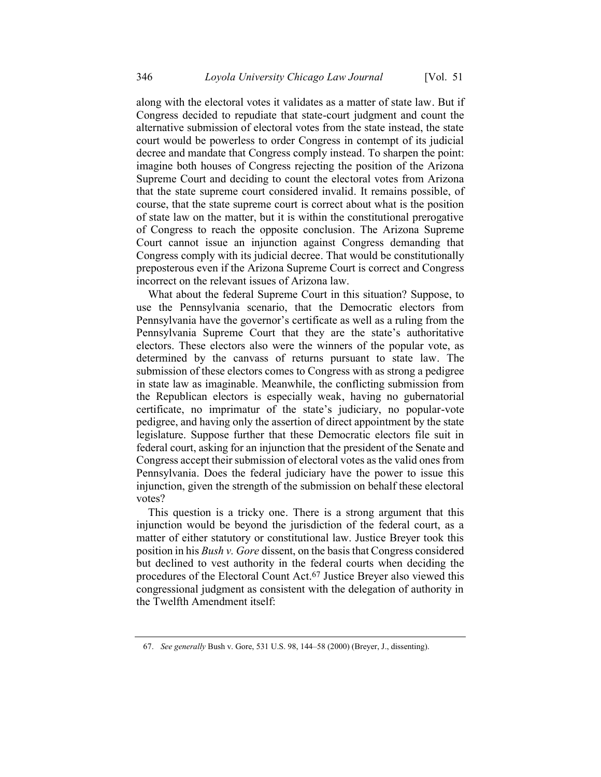along with the electoral votes it validates as a matter of state law. But if Congress decided to repudiate that state-court judgment and count the alternative submission of electoral votes from the state instead, the state court would be powerless to order Congress in contempt of its judicial decree and mandate that Congress comply instead. To sharpen the point: imagine both houses of Congress rejecting the position of the Arizona Supreme Court and deciding to count the electoral votes from Arizona that the state supreme court considered invalid. It remains possible, of course, that the state supreme court is correct about what is the position of state law on the matter, but it is within the constitutional prerogative of Congress to reach the opposite conclusion. The Arizona Supreme Court cannot issue an injunction against Congress demanding that Congress comply with its judicial decree. That would be constitutionally preposterous even if the Arizona Supreme Court is correct and Congress incorrect on the relevant issues of Arizona law.

What about the federal Supreme Court in this situation? Suppose, to use the Pennsylvania scenario, that the Democratic electors from Pennsylvania have the governor's certificate as well as a ruling from the Pennsylvania Supreme Court that they are the state's authoritative electors. These electors also were the winners of the popular vote, as determined by the canvass of returns pursuant to state law. The submission of these electors comes to Congress with as strong a pedigree in state law as imaginable. Meanwhile, the conflicting submission from the Republican electors is especially weak, having no gubernatorial certificate, no imprimatur of the state's judiciary, no popular-vote pedigree, and having only the assertion of direct appointment by the state legislature. Suppose further that these Democratic electors file suit in federal court, asking for an injunction that the president of the Senate and Congress accept their submission of electoral votes as the valid ones from Pennsylvania. Does the federal judiciary have the power to issue this injunction, given the strength of the submission on behalf these electoral votes?

This question is a tricky one. There is a strong argument that this injunction would be beyond the jurisdiction of the federal court, as a matter of either statutory or constitutional law. Justice Breyer took this position in his *Bush v. Gore* dissent, on the basis that Congress considered but declined to vest authority in the federal courts when deciding the procedures of the Electoral Count Act.67 Justice Breyer also viewed this congressional judgment as consistent with the delegation of authority in the Twelfth Amendment itself:

<sup>67.</sup> *See generally* Bush v. Gore, 531 U.S. 98, 144–58 (2000) (Breyer, J., dissenting).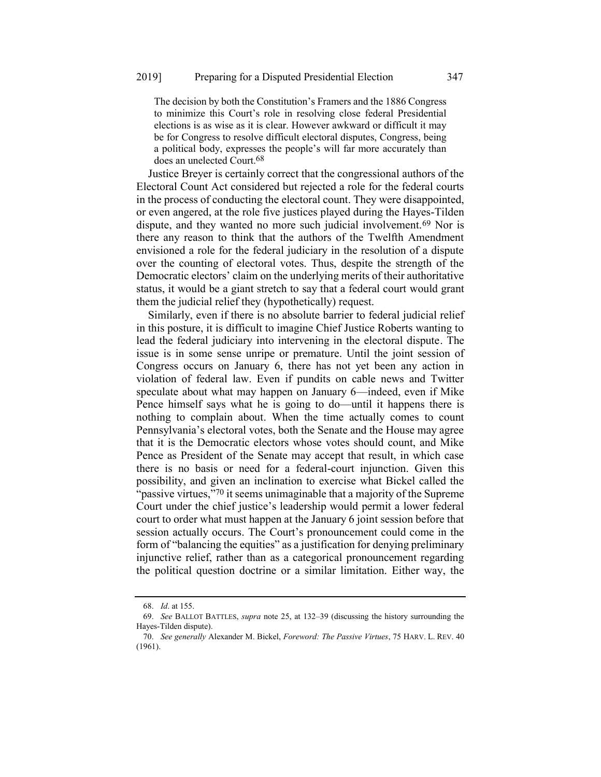The decision by both the Constitution's Framers and the 1886 Congress to minimize this Court's role in resolving close federal Presidential elections is as wise as it is clear. However awkward or difficult it may be for Congress to resolve difficult electoral disputes, Congress, being a political body, expresses the people's will far more accurately than does an unelected Court.68

Justice Breyer is certainly correct that the congressional authors of the Electoral Count Act considered but rejected a role for the federal courts in the process of conducting the electoral count. They were disappointed, or even angered, at the role five justices played during the Hayes-Tilden dispute, and they wanted no more such judicial involvement.69 Nor is there any reason to think that the authors of the Twelfth Amendment envisioned a role for the federal judiciary in the resolution of a dispute over the counting of electoral votes. Thus, despite the strength of the Democratic electors' claim on the underlying merits of their authoritative status, it would be a giant stretch to say that a federal court would grant them the judicial relief they (hypothetically) request.

Similarly, even if there is no absolute barrier to federal judicial relief in this posture, it is difficult to imagine Chief Justice Roberts wanting to lead the federal judiciary into intervening in the electoral dispute. The issue is in some sense unripe or premature. Until the joint session of Congress occurs on January 6, there has not yet been any action in violation of federal law. Even if pundits on cable news and Twitter speculate about what may happen on January 6—indeed, even if Mike Pence himself says what he is going to do—until it happens there is nothing to complain about. When the time actually comes to count Pennsylvania's electoral votes, both the Senate and the House may agree that it is the Democratic electors whose votes should count, and Mike Pence as President of the Senate may accept that result, in which case there is no basis or need for a federal-court injunction. Given this possibility, and given an inclination to exercise what Bickel called the "passive virtues,"70 it seems unimaginable that a majority of the Supreme Court under the chief justice's leadership would permit a lower federal court to order what must happen at the January 6 joint session before that session actually occurs. The Court's pronouncement could come in the form of "balancing the equities" as a justification for denying preliminary injunctive relief, rather than as a categorical pronouncement regarding the political question doctrine or a similar limitation. Either way, the

<sup>68.</sup> *Id*. at 155.

<sup>69.</sup> *See* BALLOT BATTLES, *supra* note [25,](#page-10-0) at 132–39 (discussing the history surrounding the Hayes-Tilden dispute).

<sup>70.</sup> *See generally* Alexander M. Bickel, *Foreword: The Passive Virtues*, 75 HARV. L. REV. 40 (1961).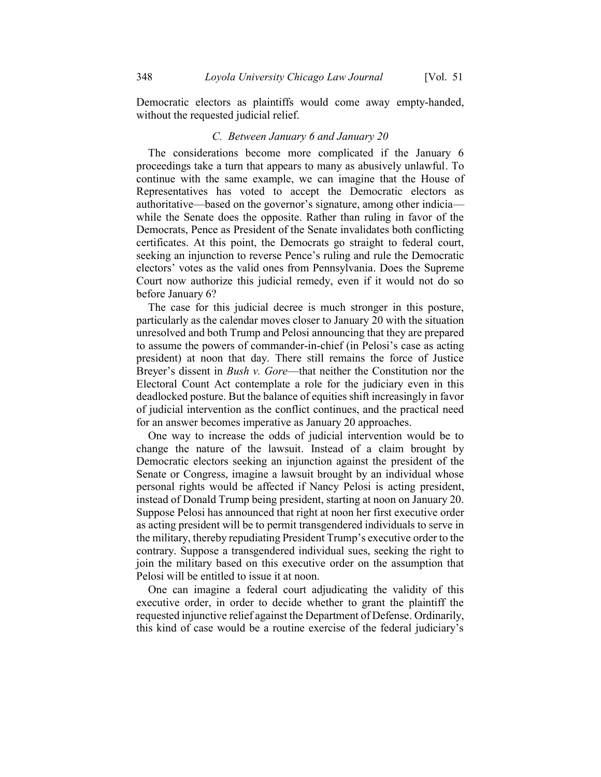Democratic electors as plaintiffs would come away empty-handed, without the requested judicial relief.

#### *C. Between January 6 and January 20*

The considerations become more complicated if the January 6 proceedings take a turn that appears to many as abusively unlawful. To continue with the same example, we can imagine that the House of Representatives has voted to accept the Democratic electors as authoritative—based on the governor's signature, among other indicia while the Senate does the opposite. Rather than ruling in favor of the Democrats, Pence as President of the Senate invalidates both conflicting certificates. At this point, the Democrats go straight to federal court, seeking an injunction to reverse Pence's ruling and rule the Democratic electors' votes as the valid ones from Pennsylvania. Does the Supreme Court now authorize this judicial remedy, even if it would not do so before January 6?

The case for this judicial decree is much stronger in this posture, particularly as the calendar moves closer to January 20 with the situation unresolved and both Trump and Pelosi announcing that they are prepared to assume the powers of commander-in-chief (in Pelosi's case as acting president) at noon that day. There still remains the force of Justice Breyer's dissent in *Bush v. Gore*—that neither the Constitution nor the Electoral Count Act contemplate a role for the judiciary even in this deadlocked posture. But the balance of equities shift increasingly in favor of judicial intervention as the conflict continues, and the practical need for an answer becomes imperative as January 20 approaches.

One way to increase the odds of judicial intervention would be to change the nature of the lawsuit. Instead of a claim brought by Democratic electors seeking an injunction against the president of the Senate or Congress, imagine a lawsuit brought by an individual whose personal rights would be affected if Nancy Pelosi is acting president, instead of Donald Trump being president, starting at noon on January 20. Suppose Pelosi has announced that right at noon her first executive order as acting president will be to permit transgendered individuals to serve in the military, thereby repudiating President Trump's executive order to the contrary. Suppose a transgendered individual sues, seeking the right to join the military based on this executive order on the assumption that Pelosi will be entitled to issue it at noon.

One can imagine a federal court adjudicating the validity of this executive order, in order to decide whether to grant the plaintiff the requested injunctive relief against the Department of Defense. Ordinarily, this kind of case would be a routine exercise of the federal judiciary's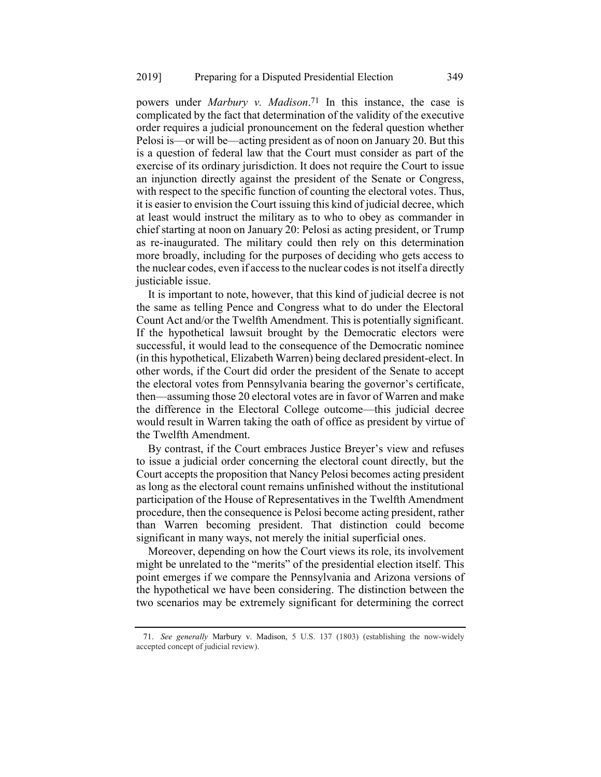powers under *Marbury v. Madison*. 71 In this instance, the case is complicated by the fact that determination of the validity of the executive order requires a judicial pronouncement on the federal question whether Pelosi is—or will be—acting president as of noon on January 20. But this is a question of federal law that the Court must consider as part of the exercise of its ordinary jurisdiction. It does not require the Court to issue an injunction directly against the president of the Senate or Congress, with respect to the specific function of counting the electoral votes. Thus, it is easier to envision the Court issuing this kind of judicial decree, which at least would instruct the military as to who to obey as commander in chief starting at noon on January 20: Pelosi as acting president, or Trump as re-inaugurated. The military could then rely on this determination more broadly, including for the purposes of deciding who gets access to the nuclear codes, even if access to the nuclear codes is not itself a directly justiciable issue.

It is important to note, however, that this kind of judicial decree is not the same as telling Pence and Congress what to do under the Electoral Count Act and/or the Twelfth Amendment. This is potentially significant. If the hypothetical lawsuit brought by the Democratic electors were successful, it would lead to the consequence of the Democratic nominee (in this hypothetical, Elizabeth Warren) being declared president-elect. In other words, if the Court did order the president of the Senate to accept the electoral votes from Pennsylvania bearing the governor's certificate, then—assuming those 20 electoral votes are in favor of Warren and make the difference in the Electoral College outcome—this judicial decree would result in Warren taking the oath of office as president by virtue of the Twelfth Amendment.

By contrast, if the Court embraces Justice Breyer's view and refuses to issue a judicial order concerning the electoral count directly, but the Court accepts the proposition that Nancy Pelosi becomes acting president as long as the electoral count remains unfinished without the institutional participation of the House of Representatives in the Twelfth Amendment procedure, then the consequence is Pelosi become acting president, rather than Warren becoming president. That distinction could become significant in many ways, not merely the initial superficial ones.

Moreover, depending on how the Court views its role, its involvement might be unrelated to the "merits" of the presidential election itself. This point emerges if we compare the Pennsylvania and Arizona versions of the hypothetical we have been considering. The distinction between the two scenarios may be extremely significant for determining the correct

<sup>71.</sup> *See generally* Marbury v. Madison, 5 U.S. 137 (1803) (establishing the now-widely accepted concept of judicial review).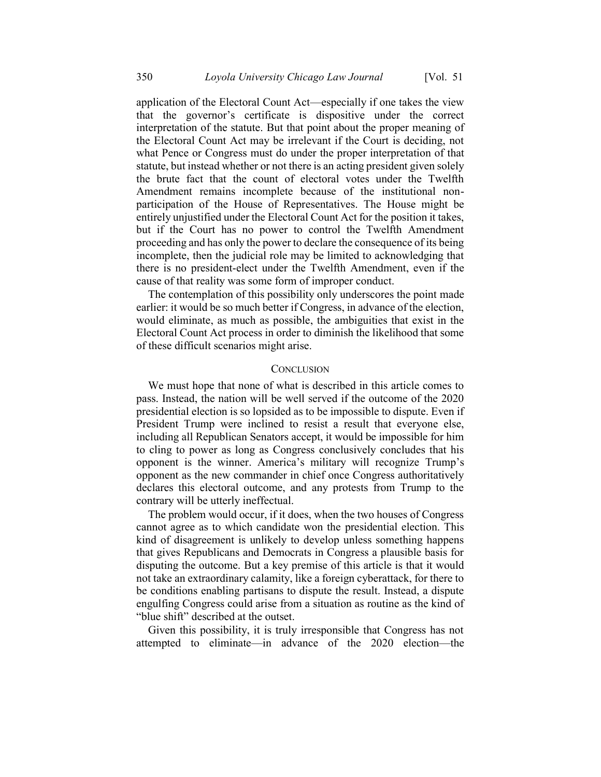application of the Electoral Count Act—especially if one takes the view that the governor's certificate is dispositive under the correct interpretation of the statute. But that point about the proper meaning of the Electoral Count Act may be irrelevant if the Court is deciding, not what Pence or Congress must do under the proper interpretation of that statute, but instead whether or not there is an acting president given solely the brute fact that the count of electoral votes under the Twelfth Amendment remains incomplete because of the institutional nonparticipation of the House of Representatives. The House might be entirely unjustified under the Electoral Count Act for the position it takes, but if the Court has no power to control the Twelfth Amendment proceeding and has only the power to declare the consequence of its being incomplete, then the judicial role may be limited to acknowledging that there is no president-elect under the Twelfth Amendment, even if the cause of that reality was some form of improper conduct.

The contemplation of this possibility only underscores the point made earlier: it would be so much better if Congress, in advance of the election, would eliminate, as much as possible, the ambiguities that exist in the Electoral Count Act process in order to diminish the likelihood that some of these difficult scenarios might arise.

#### **CONCLUSION**

We must hope that none of what is described in this article comes to pass. Instead, the nation will be well served if the outcome of the 2020 presidential election is so lopsided as to be impossible to dispute. Even if President Trump were inclined to resist a result that everyone else, including all Republican Senators accept, it would be impossible for him to cling to power as long as Congress conclusively concludes that his opponent is the winner. America's military will recognize Trump's opponent as the new commander in chief once Congress authoritatively declares this electoral outcome, and any protests from Trump to the contrary will be utterly ineffectual.

The problem would occur, if it does, when the two houses of Congress cannot agree as to which candidate won the presidential election. This kind of disagreement is unlikely to develop unless something happens that gives Republicans and Democrats in Congress a plausible basis for disputing the outcome. But a key premise of this article is that it would not take an extraordinary calamity, like a foreign cyberattack, for there to be conditions enabling partisans to dispute the result. Instead, a dispute engulfing Congress could arise from a situation as routine as the kind of "blue shift" described at the outset.

Given this possibility, it is truly irresponsible that Congress has not attempted to eliminate—in advance of the 2020 election—the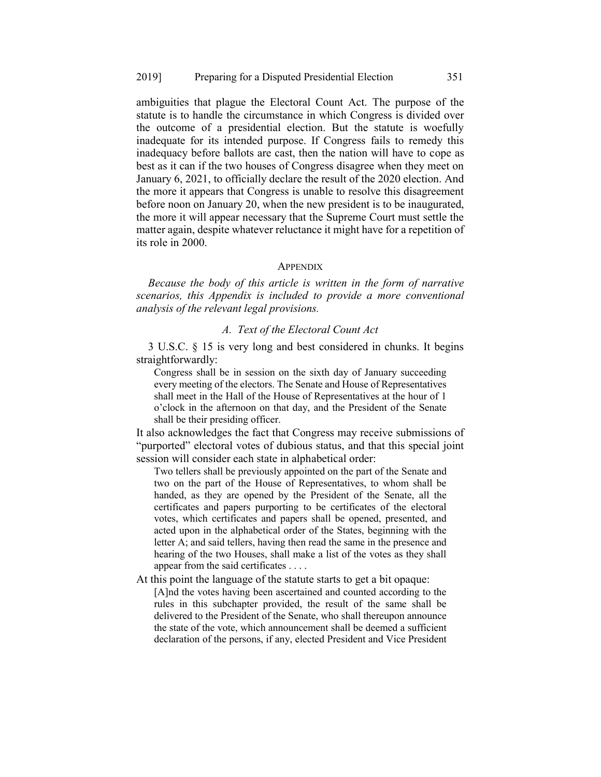ambiguities that plague the Electoral Count Act. The purpose of the statute is to handle the circumstance in which Congress is divided over the outcome of a presidential election. But the statute is woefully inadequate for its intended purpose. If Congress fails to remedy this inadequacy before ballots are cast, then the nation will have to cope as best as it can if the two houses of Congress disagree when they meet on January 6, 2021, to officially declare the result of the 2020 election. And the more it appears that Congress is unable to resolve this disagreement before noon on January 20, when the new president is to be inaugurated, the more it will appear necessary that the Supreme Court must settle the matter again, despite whatever reluctance it might have for a repetition of its role in 2000.

#### **APPENDIX**

*Because the body of this article is written in the form of narrative scenarios, this Appendix is included to provide a more conventional analysis of the relevant legal provisions.*

# *A. Text of the Electoral Count Act*

3 U.S.C. § 15 is very long and best considered in chunks. It begins straightforwardly:

Congress shall be in session on the sixth day of January succeeding every meeting of the electors. The Senate and House of Representatives shall meet in the Hall of the House of Representatives at the hour of 1 o'clock in the afternoon on that day, and the President of the Senate shall be their presiding officer.

It also acknowledges the fact that Congress may receive submissions of "purported" electoral votes of dubious status, and that this special joint session will consider each state in alphabetical order:

Two tellers shall be previously appointed on the part of the Senate and two on the part of the House of Representatives, to whom shall be handed, as they are opened by the President of the Senate, all the certificates and papers purporting to be certificates of the electoral votes, which certificates and papers shall be opened, presented, and acted upon in the alphabetical order of the States, beginning with the letter A; and said tellers, having then read the same in the presence and hearing of the two Houses, shall make a list of the votes as they shall appear from the said certificates . . . .

At this point the language of the statute starts to get a bit opaque:

[A]nd the votes having been ascertained and counted according to the rules in this subchapter provided, the result of the same shall be delivered to the President of the Senate, who shall thereupon announce the state of the vote, which announcement shall be deemed a sufficient declaration of the persons, if any, elected President and Vice President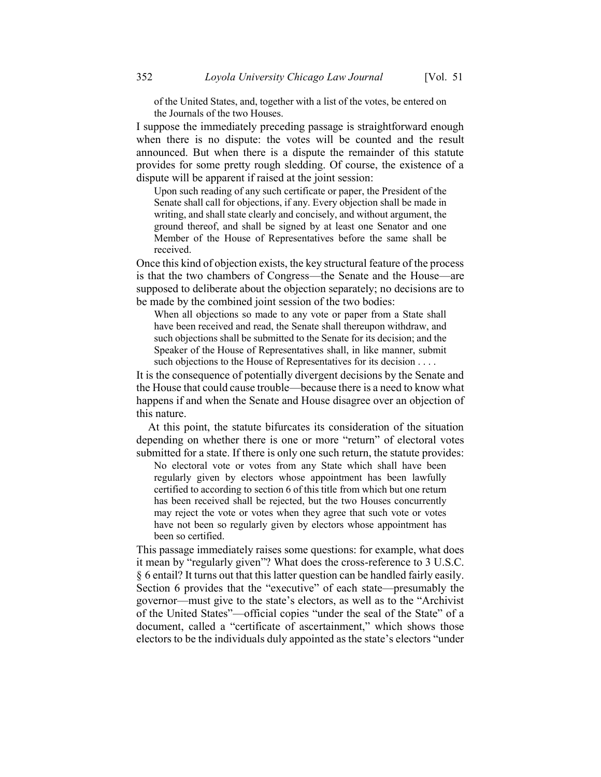of the United States, and, together with a list of the votes, be entered on the Journals of the two Houses.

I suppose the immediately preceding passage is straightforward enough when there is no dispute: the votes will be counted and the result announced. But when there is a dispute the remainder of this statute provides for some pretty rough sledding. Of course, the existence of a dispute will be apparent if raised at the joint session:

Upon such reading of any such certificate or paper, the President of the Senate shall call for objections, if any. Every objection shall be made in writing, and shall state clearly and concisely, and without argument, the ground thereof, and shall be signed by at least one Senator and one Member of the House of Representatives before the same shall be received.

Once this kind of objection exists, the key structural feature of the process is that the two chambers of Congress—the Senate and the House—are supposed to deliberate about the objection separately; no decisions are to be made by the combined joint session of the two bodies:

When all objections so made to any vote or paper from a State shall have been received and read, the Senate shall thereupon withdraw, and such objections shall be submitted to the Senate for its decision; and the Speaker of the House of Representatives shall, in like manner, submit such objections to the House of Representatives for its decision . . . .

It is the consequence of potentially divergent decisions by the Senate and the House that could cause trouble—because there is a need to know what happens if and when the Senate and House disagree over an objection of this nature.

At this point, the statute bifurcates its consideration of the situation depending on whether there is one or more "return" of electoral votes submitted for a state. If there is only one such return, the statute provides:

No electoral vote or votes from any State which shall have been regularly given by electors whose appointment has been lawfully certified to according to section 6 of this title from which but one return has been received shall be rejected, but the two Houses concurrently may reject the vote or votes when they agree that such vote or votes have not been so regularly given by electors whose appointment has been so certified.

This passage immediately raises some questions: for example, what does it mean by "regularly given"? What does the cross-reference to 3 U.S.C. § 6 entail? It turns out that this latter question can be handled fairly easily. Section 6 provides that the "executive" of each state—presumably the governor—must give to the state's electors, as well as to the "Archivist of the United States"—official copies "under the seal of the State" of a document, called a "certificate of ascertainment," which shows those electors to be the individuals duly appointed as the state's electors "under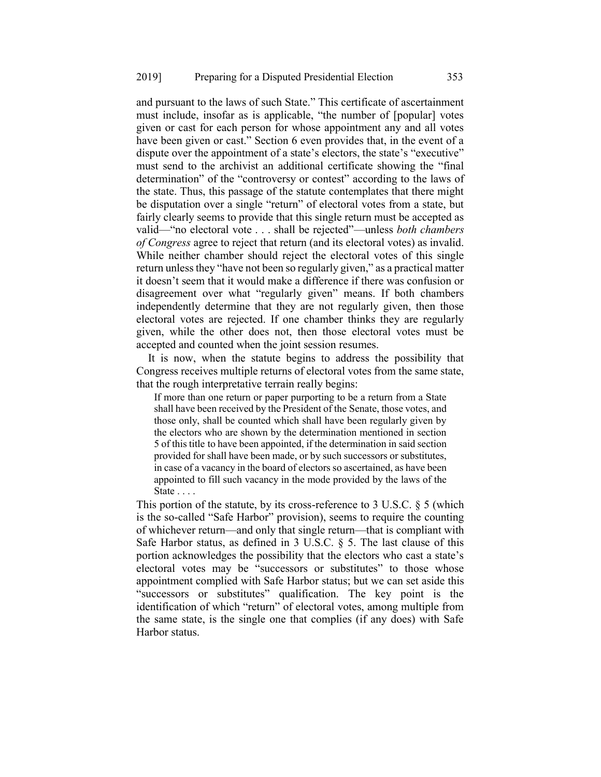and pursuant to the laws of such State." This certificate of ascertainment must include, insofar as is applicable, "the number of [popular] votes given or cast for each person for whose appointment any and all votes have been given or cast." Section 6 even provides that, in the event of a dispute over the appointment of a state's electors, the state's "executive" must send to the archivist an additional certificate showing the "final determination" of the "controversy or contest" according to the laws of the state. Thus, this passage of the statute contemplates that there might be disputation over a single "return" of electoral votes from a state, but fairly clearly seems to provide that this single return must be accepted as valid—"no electoral vote . . . shall be rejected"—unless *both chambers of Congress* agree to reject that return (and its electoral votes) as invalid. While neither chamber should reject the electoral votes of this single return unless they "have not been so regularly given," as a practical matter it doesn't seem that it would make a difference if there was confusion or disagreement over what "regularly given" means. If both chambers independently determine that they are not regularly given, then those electoral votes are rejected. If one chamber thinks they are regularly given, while the other does not, then those electoral votes must be accepted and counted when the joint session resumes.

It is now, when the statute begins to address the possibility that Congress receives multiple returns of electoral votes from the same state, that the rough interpretative terrain really begins:

If more than one return or paper purporting to be a return from a State shall have been received by the President of the Senate, those votes, and those only, shall be counted which shall have been regularly given by the electors who are shown by the determination mentioned in section 5 of this title to have been appointed, if the determination in said section provided for shall have been made, or by such successors or substitutes, in case of a vacancy in the board of electors so ascertained, as have been appointed to fill such vacancy in the mode provided by the laws of the State . . . .

This portion of the statute, by its cross-reference to 3 U.S.C. § 5 (which is the so-called "Safe Harbor" provision), seems to require the counting of whichever return—and only that single return—that is compliant with Safe Harbor status, as defined in 3 U.S.C. § 5. The last clause of this portion acknowledges the possibility that the electors who cast a state's electoral votes may be "successors or substitutes" to those whose appointment complied with Safe Harbor status; but we can set aside this "successors or substitutes" qualification. The key point is the identification of which "return" of electoral votes, among multiple from the same state, is the single one that complies (if any does) with Safe Harbor status.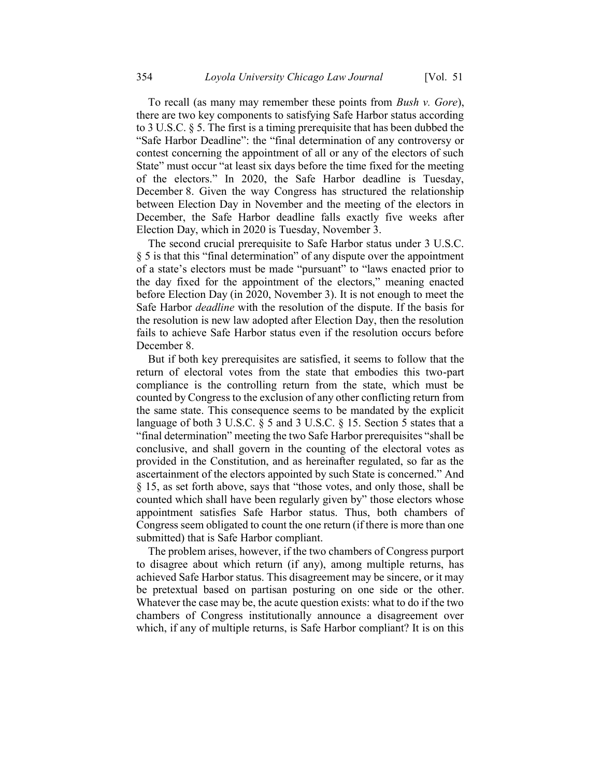To recall (as many may remember these points from *Bush v. Gore*), there are two key components to satisfying Safe Harbor status according to 3 U.S.C. § 5. The first is a timing prerequisite that has been dubbed the "Safe Harbor Deadline": the "final determination of any controversy or contest concerning the appointment of all or any of the electors of such State" must occur "at least six days before the time fixed for the meeting of the electors." In 2020, the Safe Harbor deadline is Tuesday, December 8. Given the way Congress has structured the relationship between Election Day in November and the meeting of the electors in December, the Safe Harbor deadline falls exactly five weeks after Election Day, which in 2020 is Tuesday, November 3.

The second crucial prerequisite to Safe Harbor status under 3 U.S.C. § 5 is that this "final determination" of any dispute over the appointment of a state's electors must be made "pursuant" to "laws enacted prior to the day fixed for the appointment of the electors," meaning enacted before Election Day (in 2020, November 3). It is not enough to meet the Safe Harbor *deadline* with the resolution of the dispute. If the basis for the resolution is new law adopted after Election Day, then the resolution fails to achieve Safe Harbor status even if the resolution occurs before December 8.

But if both key prerequisites are satisfied, it seems to follow that the return of electoral votes from the state that embodies this two-part compliance is the controlling return from the state, which must be counted by Congress to the exclusion of any other conflicting return from the same state. This consequence seems to be mandated by the explicit language of both 3 U.S.C. § 5 and 3 U.S.C. § 15. Section 5 states that a "final determination" meeting the two Safe Harbor prerequisites "shall be conclusive, and shall govern in the counting of the electoral votes as provided in the Constitution, and as hereinafter regulated, so far as the ascertainment of the electors appointed by such State is concerned." And § 15, as set forth above, says that "those votes, and only those, shall be counted which shall have been regularly given by" those electors whose appointment satisfies Safe Harbor status. Thus, both chambers of Congress seem obligated to count the one return (if there is more than one submitted) that is Safe Harbor compliant.

The problem arises, however, if the two chambers of Congress purport to disagree about which return (if any), among multiple returns, has achieved Safe Harbor status. This disagreement may be sincere, or it may be pretextual based on partisan posturing on one side or the other. Whatever the case may be, the acute question exists: what to do if the two chambers of Congress institutionally announce a disagreement over which, if any of multiple returns, is Safe Harbor compliant? It is on this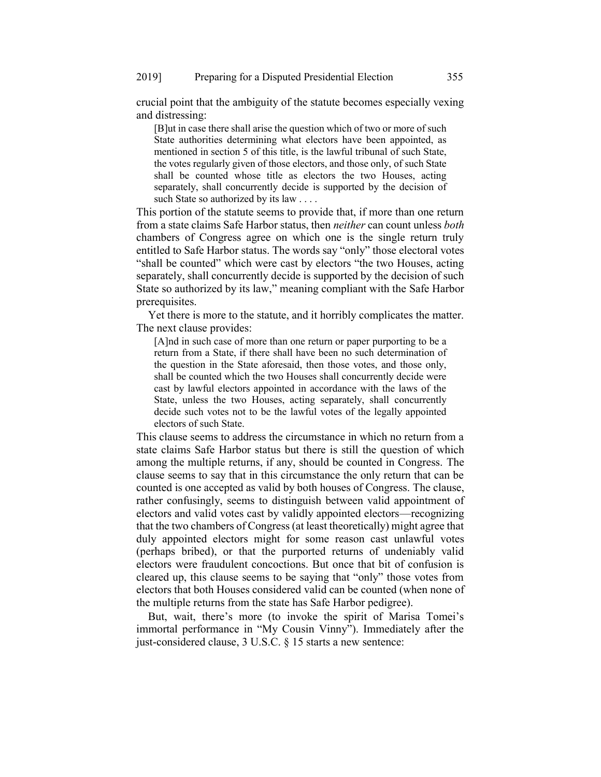crucial point that the ambiguity of the statute becomes especially vexing and distressing:

[B]ut in case there shall arise the question which of two or more of such State authorities determining what electors have been appointed, as mentioned in section 5 of this title, is the lawful tribunal of such State, the votes regularly given of those electors, and those only, of such State shall be counted whose title as electors the two Houses, acting separately, shall concurrently decide is supported by the decision of such State so authorized by its law . . . .

This portion of the statute seems to provide that, if more than one return from a state claims Safe Harbor status, then *neither* can count unless *both* chambers of Congress agree on which one is the single return truly entitled to Safe Harbor status. The words say "only" those electoral votes "shall be counted" which were cast by electors "the two Houses, acting separately, shall concurrently decide is supported by the decision of such State so authorized by its law," meaning compliant with the Safe Harbor prerequisites.

Yet there is more to the statute, and it horribly complicates the matter. The next clause provides:

[A]nd in such case of more than one return or paper purporting to be a return from a State, if there shall have been no such determination of the question in the State aforesaid, then those votes, and those only, shall be counted which the two Houses shall concurrently decide were cast by lawful electors appointed in accordance with the laws of the State, unless the two Houses, acting separately, shall concurrently decide such votes not to be the lawful votes of the legally appointed electors of such State.

This clause seems to address the circumstance in which no return from a state claims Safe Harbor status but there is still the question of which among the multiple returns, if any, should be counted in Congress. The clause seems to say that in this circumstance the only return that can be counted is one accepted as valid by both houses of Congress. The clause, rather confusingly, seems to distinguish between valid appointment of electors and valid votes cast by validly appointed electors—recognizing that the two chambers of Congress (at least theoretically) might agree that duly appointed electors might for some reason cast unlawful votes (perhaps bribed), or that the purported returns of undeniably valid electors were fraudulent concoctions. But once that bit of confusion is cleared up, this clause seems to be saying that "only" those votes from electors that both Houses considered valid can be counted (when none of the multiple returns from the state has Safe Harbor pedigree).

But, wait, there's more (to invoke the spirit of Marisa Tomei's immortal performance in "My Cousin Vinny"). Immediately after the just-considered clause, 3 U.S.C. § 15 starts a new sentence: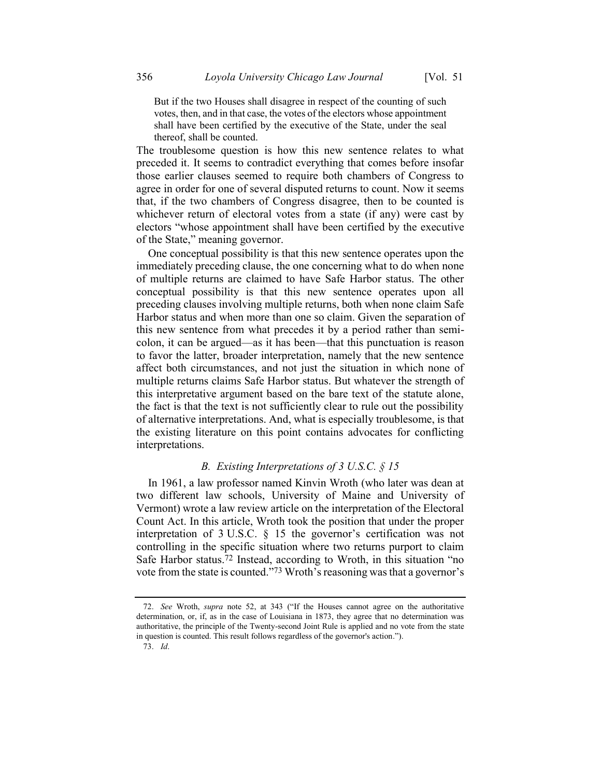But if the two Houses shall disagree in respect of the counting of such votes, then, and in that case, the votes of the electors whose appointment shall have been certified by the executive of the State, under the seal thereof, shall be counted.

The troublesome question is how this new sentence relates to what preceded it. It seems to contradict everything that comes before insofar those earlier clauses seemed to require both chambers of Congress to agree in order for one of several disputed returns to count. Now it seems that, if the two chambers of Congress disagree, then to be counted is whichever return of electoral votes from a state (if any) were cast by electors "whose appointment shall have been certified by the executive of the State," meaning governor.

One conceptual possibility is that this new sentence operates upon the immediately preceding clause, the one concerning what to do when none of multiple returns are claimed to have Safe Harbor status. The other conceptual possibility is that this new sentence operates upon all preceding clauses involving multiple returns, both when none claim Safe Harbor status and when more than one so claim. Given the separation of this new sentence from what precedes it by a period rather than semicolon, it can be argued—as it has been—that this punctuation is reason to favor the latter, broader interpretation, namely that the new sentence affect both circumstances, and not just the situation in which none of multiple returns claims Safe Harbor status. But whatever the strength of this interpretative argument based on the bare text of the statute alone, the fact is that the text is not sufficiently clear to rule out the possibility of alternative interpretations. And, what is especially troublesome, is that the existing literature on this point contains advocates for conflicting interpretations.

# *B. Existing Interpretations of 3 U.S.C. § 15*

In 1961, a law professor named Kinvin Wroth (who later was dean at two different law schools, University of Maine and University of Vermont) wrote a law review article on the interpretation of the Electoral Count Act. In this article, Wroth took the position that under the proper interpretation of 3 U.S.C. § 15 the governor's certification was not controlling in the specific situation where two returns purport to claim Safe Harbor status.72 Instead, according to Wroth, in this situation "no vote from the state is counted."73 Wroth's reasoning was that a governor's

<sup>72.</sup> *See* Wroth, *supra* note [52](#page-23-0), at 343 ("If the Houses cannot agree on the authoritative determination, or, if, as in the case of Louisiana in 1873, they agree that no determination was authoritative, the principle of the Twenty-second Joint Rule is applied and no vote from the state in question is counted. This result follows regardless of the governor's action.").

<sup>73.</sup> *Id*.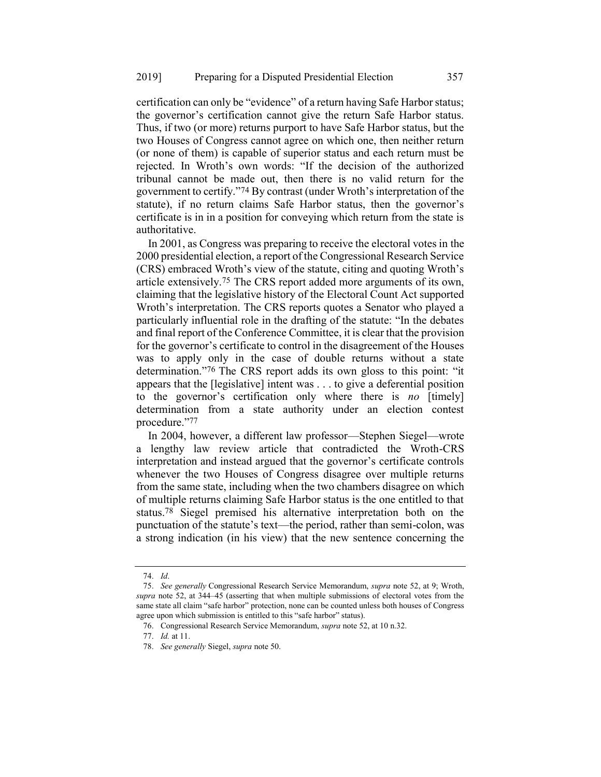certification can only be "evidence" of a return having Safe Harbor status; the governor's certification cannot give the return Safe Harbor status. Thus, if two (or more) returns purport to have Safe Harbor status, but the two Houses of Congress cannot agree on which one, then neither return (or none of them) is capable of superior status and each return must be rejected. In Wroth's own words: "If the decision of the authorized tribunal cannot be made out, then there is no valid return for the government to certify."74 By contrast (under Wroth's interpretation of the statute), if no return claims Safe Harbor status, then the governor's certificate is in in a position for conveying which return from the state is authoritative.

In 2001, as Congress was preparing to receive the electoral votes in the 2000 presidential election, a report of the Congressional Research Service (CRS) embraced Wroth's view of the statute, citing and quoting Wroth's article extensively.75 The CRS report added more arguments of its own, claiming that the legislative history of the Electoral Count Act supported Wroth's interpretation. The CRS reports quotes a Senator who played a particularly influential role in the drafting of the statute: "In the debates and final report of the Conference Committee, it is clear that the provision for the governor's certificate to control in the disagreement of the Houses was to apply only in the case of double returns without a state determination."76 The CRS report adds its own gloss to this point: "it appears that the [legislative] intent was . . . to give a deferential position to the governor's certification only where there is *no* [timely] determination from a state authority under an election contest procedure."77

In 2004, however, a different law professor—Stephen Siegel—wrote a lengthy law review article that contradicted the Wroth-CRS interpretation and instead argued that the governor's certificate controls whenever the two Houses of Congress disagree over multiple returns from the same state, including when the two chambers disagree on which of multiple returns claiming Safe Harbor status is the one entitled to that status. 78 Siegel premised his alternative interpretation both on the punctuation of the statute's text—the period, rather than semi-colon, was a strong indication (in his view) that the new sentence concerning the

<sup>74.</sup> *Id*.

<sup>75.</sup> *See generally* Congressional Research Service Memorandum, *supra* note [52,](#page-23-0) at 9; Wroth, *supra* note [52,](#page-23-0) at 344–45 (asserting that when multiple submissions of electoral votes from the same state all claim "safe harbor" protection, none can be counted unless both houses of Congress agree upon which submission is entitled to this "safe harbor" status).

<sup>76.</sup> Congressional Research Service Memorandum, *supra* note [52,](#page-23-0) at 10 n.32.

<sup>77.</sup> *Id.* at 11.

<sup>78.</sup> *See generally* Siegel, *supra* not[e 50.](#page-22-0)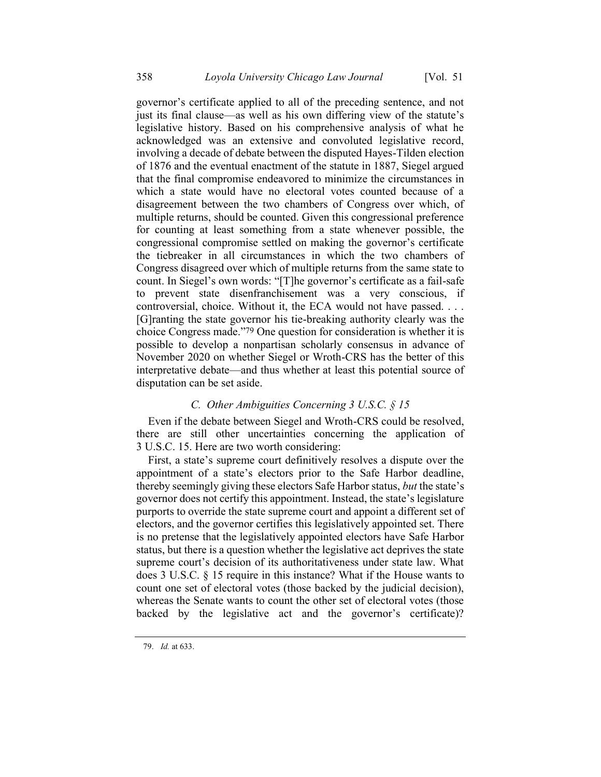governor's certificate applied to all of the preceding sentence, and not just its final clause—as well as his own differing view of the statute's legislative history. Based on his comprehensive analysis of what he acknowledged was an extensive and convoluted legislative record, involving a decade of debate between the disputed Hayes-Tilden election of 1876 and the eventual enactment of the statute in 1887, Siegel argued that the final compromise endeavored to minimize the circumstances in which a state would have no electoral votes counted because of a disagreement between the two chambers of Congress over which, of multiple returns, should be counted. Given this congressional preference for counting at least something from a state whenever possible, the congressional compromise settled on making the governor's certificate the tiebreaker in all circumstances in which the two chambers of Congress disagreed over which of multiple returns from the same state to count. In Siegel's own words: "[T]he governor's certificate as a fail-safe to prevent state disenfranchisement was a very conscious, if controversial, choice. Without it, the ECA would not have passed. . . . [G]ranting the state governor his tie-breaking authority clearly was the choice Congress made."79 One question for consideration is whether it is possible to develop a nonpartisan scholarly consensus in advance of November 2020 on whether Siegel or Wroth-CRS has the better of this interpretative debate—and thus whether at least this potential source of disputation can be set aside.

# *C. Other Ambiguities Concerning 3 U.S.C. § 15*

Even if the debate between Siegel and Wroth-CRS could be resolved, there are still other uncertainties concerning the application of 3 U.S.C. 15. Here are two worth considering:

First, a state's supreme court definitively resolves a dispute over the appointment of a state's electors prior to the Safe Harbor deadline, thereby seemingly giving these electors Safe Harbor status, *but* the state's governor does not certify this appointment. Instead, the state's legislature purports to override the state supreme court and appoint a different set of electors, and the governor certifies this legislatively appointed set. There is no pretense that the legislatively appointed electors have Safe Harbor status, but there is a question whether the legislative act deprives the state supreme court's decision of its authoritativeness under state law. What does 3 U.S.C. § 15 require in this instance? What if the House wants to count one set of electoral votes (those backed by the judicial decision), whereas the Senate wants to count the other set of electoral votes (those backed by the legislative act and the governor's certificate)?

<sup>79.</sup> *Id.* at 633.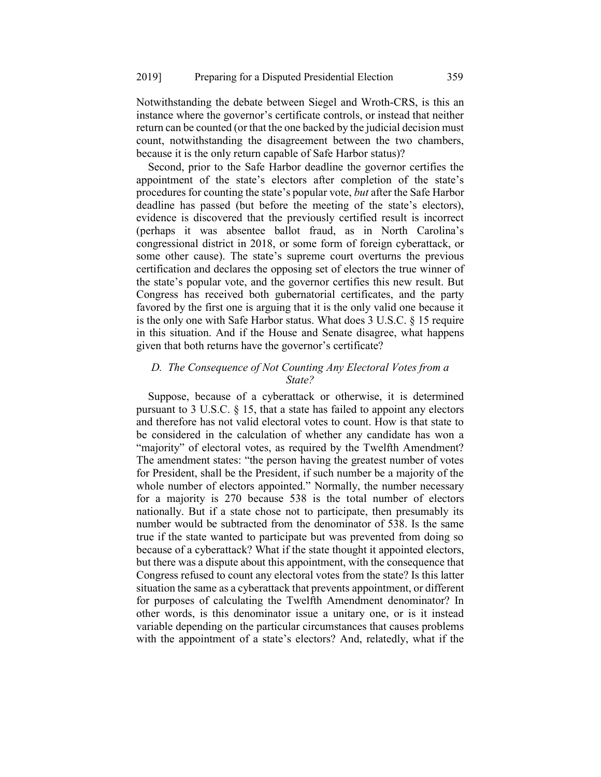Notwithstanding the debate between Siegel and Wroth-CRS, is this an instance where the governor's certificate controls, or instead that neither return can be counted (or that the one backed by the judicial decision must count, notwithstanding the disagreement between the two chambers, because it is the only return capable of Safe Harbor status)?

Second, prior to the Safe Harbor deadline the governor certifies the appointment of the state's electors after completion of the state's procedures for counting the state's popular vote, *but* after the Safe Harbor deadline has passed (but before the meeting of the state's electors), evidence is discovered that the previously certified result is incorrect (perhaps it was absentee ballot fraud, as in North Carolina's congressional district in 2018, or some form of foreign cyberattack, or some other cause). The state's supreme court overturns the previous certification and declares the opposing set of electors the true winner of the state's popular vote, and the governor certifies this new result. But Congress has received both gubernatorial certificates, and the party favored by the first one is arguing that it is the only valid one because it is the only one with Safe Harbor status. What does 3 U.S.C. § 15 require in this situation. And if the House and Senate disagree, what happens given that both returns have the governor's certificate?

# *D. The Consequence of Not Counting Any Electoral Votes from a State?*

Suppose, because of a cyberattack or otherwise, it is determined pursuant to 3 U.S.C. § 15, that a state has failed to appoint any electors and therefore has not valid electoral votes to count. How is that state to be considered in the calculation of whether any candidate has won a "majority" of electoral votes, as required by the Twelfth Amendment? The amendment states: "the person having the greatest number of votes for President, shall be the President, if such number be a majority of the whole number of electors appointed." Normally, the number necessary for a majority is 270 because 538 is the total number of electors nationally. But if a state chose not to participate, then presumably its number would be subtracted from the denominator of 538. Is the same true if the state wanted to participate but was prevented from doing so because of a cyberattack? What if the state thought it appointed electors, but there was a dispute about this appointment, with the consequence that Congress refused to count any electoral votes from the state? Is this latter situation the same as a cyberattack that prevents appointment, or different for purposes of calculating the Twelfth Amendment denominator? In other words, is this denominator issue a unitary one, or is it instead variable depending on the particular circumstances that causes problems with the appointment of a state's electors? And, relatedly, what if the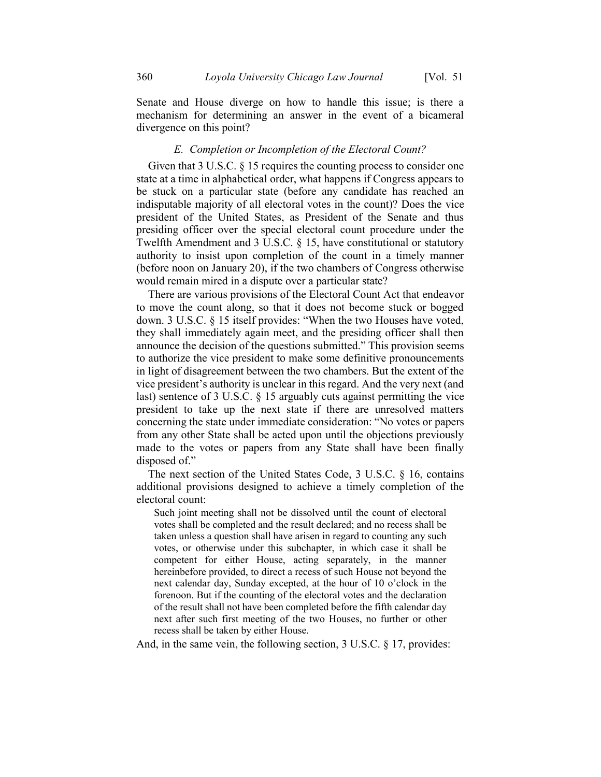Senate and House diverge on how to handle this issue; is there a mechanism for determining an answer in the event of a bicameral divergence on this point?

#### *E. Completion or Incompletion of the Electoral Count?*

Given that 3 U.S.C. § 15 requires the counting process to consider one state at a time in alphabetical order, what happens if Congress appears to be stuck on a particular state (before any candidate has reached an indisputable majority of all electoral votes in the count)? Does the vice president of the United States, as President of the Senate and thus presiding officer over the special electoral count procedure under the Twelfth Amendment and 3 U.S.C. § 15, have constitutional or statutory authority to insist upon completion of the count in a timely manner (before noon on January 20), if the two chambers of Congress otherwise would remain mired in a dispute over a particular state?

There are various provisions of the Electoral Count Act that endeavor to move the count along, so that it does not become stuck or bogged down. 3 U.S.C. § 15 itself provides: "When the two Houses have voted, they shall immediately again meet, and the presiding officer shall then announce the decision of the questions submitted." This provision seems to authorize the vice president to make some definitive pronouncements in light of disagreement between the two chambers. But the extent of the vice president's authority is unclear in this regard. And the very next (and last) sentence of 3 U.S.C. § 15 arguably cuts against permitting the vice president to take up the next state if there are unresolved matters concerning the state under immediate consideration: "No votes or papers from any other State shall be acted upon until the objections previously made to the votes or papers from any State shall have been finally disposed of."

The next section of the United States Code, 3 U.S.C. § 16, contains additional provisions designed to achieve a timely completion of the electoral count:

Such joint meeting shall not be dissolved until the count of electoral votes shall be completed and the result declared; and no recess shall be taken unless a question shall have arisen in regard to counting any such votes, or otherwise under this subchapter, in which case it shall be competent for either House, acting separately, in the manner hereinbefore provided, to direct a recess of such House not beyond the next calendar day, Sunday excepted, at the hour of 10 o'clock in the forenoon. But if the counting of the electoral votes and the declaration of the result shall not have been completed before the fifth calendar day next after such first meeting of the two Houses, no further or other recess shall be taken by either House.

And, in the same vein, the following section, 3 U.S.C. § 17, provides: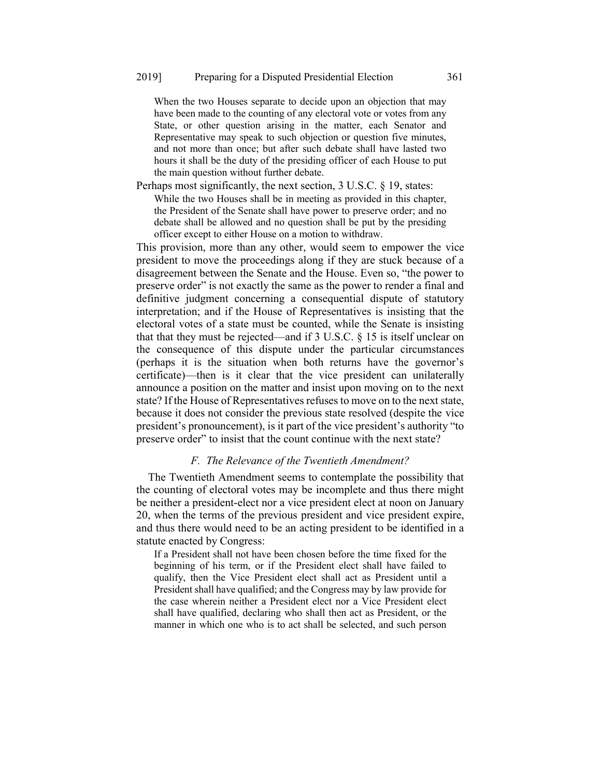When the two Houses separate to decide upon an objection that may have been made to the counting of any electoral vote or votes from any State, or other question arising in the matter, each Senator and Representative may speak to such objection or question five minutes, and not more than once; but after such debate shall have lasted two hours it shall be the duty of the presiding officer of each House to put the main question without further debate.

Perhaps most significantly, the next section, 3 U.S.C. § 19, states: While the two Houses shall be in meeting as provided in this chapter, the President of the Senate shall have power to preserve order; and no debate shall be allowed and no question shall be put by the presiding officer except to either House on a motion to withdraw.

This provision, more than any other, would seem to empower the vice president to move the proceedings along if they are stuck because of a disagreement between the Senate and the House. Even so, "the power to preserve order" is not exactly the same as the power to render a final and definitive judgment concerning a consequential dispute of statutory interpretation; and if the House of Representatives is insisting that the electoral votes of a state must be counted, while the Senate is insisting that that they must be rejected—and if 3 U.S.C. § 15 is itself unclear on the consequence of this dispute under the particular circumstances (perhaps it is the situation when both returns have the governor's certificate)—then is it clear that the vice president can unilaterally announce a position on the matter and insist upon moving on to the next state? If the House of Representatives refuses to move on to the next state, because it does not consider the previous state resolved (despite the vice president's pronouncement), is it part of the vice president's authority "to preserve order" to insist that the count continue with the next state?

#### *F. The Relevance of the Twentieth Amendment?*

The Twentieth Amendment seems to contemplate the possibility that the counting of electoral votes may be incomplete and thus there might be neither a president-elect nor a vice president elect at noon on January 20, when the terms of the previous president and vice president expire, and thus there would need to be an acting president to be identified in a statute enacted by Congress:

If a President shall not have been chosen before the time fixed for the beginning of his term, or if the President elect shall have failed to qualify, then the Vice President elect shall act as President until a President shall have qualified; and the Congress may by law provide for the case wherein neither a President elect nor a Vice President elect shall have qualified, declaring who shall then act as President, or the manner in which one who is to act shall be selected, and such person